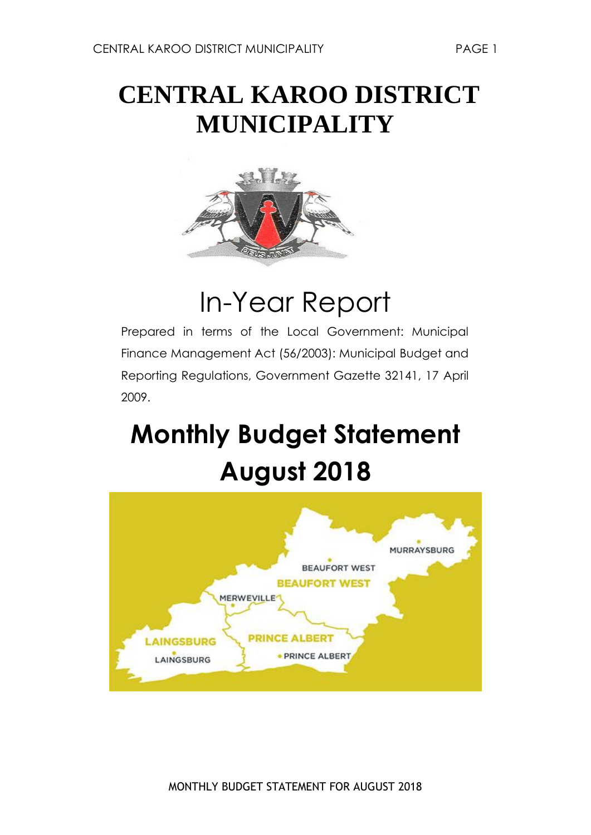## **CENTRAL KAROO DISTRICT MUNICIPALITY**



## In-Year Report

Prepared in terms of the Local Government: Municipal Finance Management Act (56/2003): Municipal Budget and Reporting Regulations, Government Gazette 32141, 17 April 2009.

# **Monthly Budget Statement August 2018**

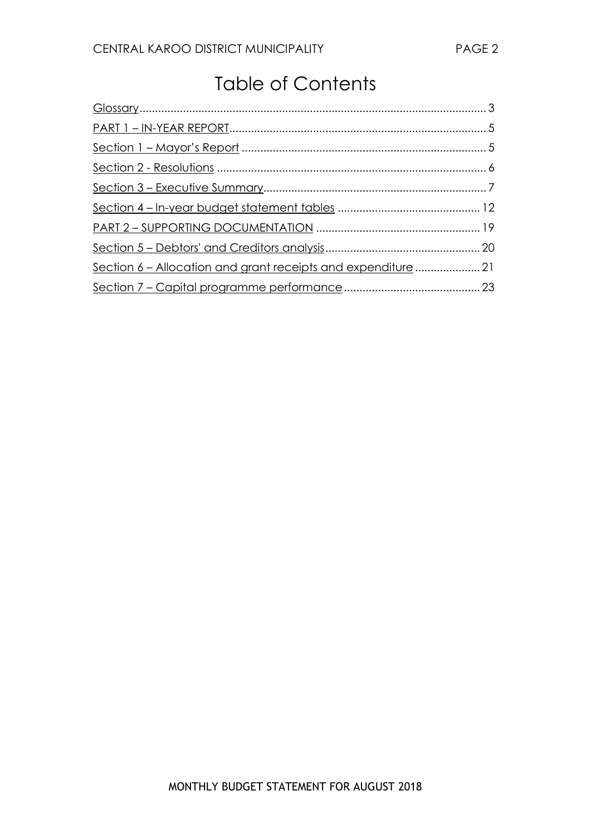### Table of Contents

| Section 6 - Allocation and grant receipts and expenditure  21 |  |
|---------------------------------------------------------------|--|
|                                                               |  |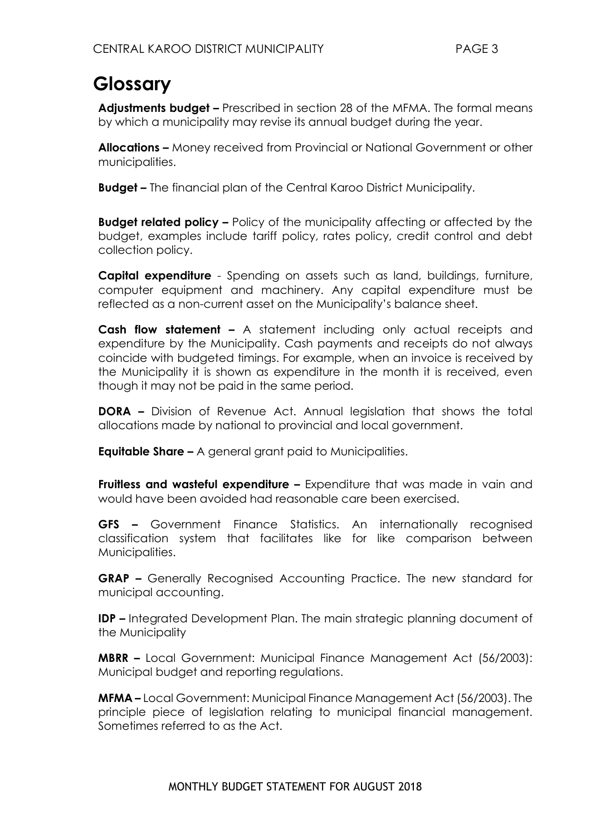### <span id="page-2-0"></span>**Glossary**

**Adjustments budget –** Prescribed in section 28 of the MFMA. The formal means by which a municipality may revise its annual budget during the year.

**Allocations –** Money received from Provincial or National Government or other municipalities.

**Budget –** The financial plan of the Central Karoo District Municipality.

**Budget related policy –** Policy of the municipality affecting or affected by the budget, examples include tariff policy, rates policy, credit control and debt collection policy.

**Capital expenditure** - Spending on assets such as land, buildings, furniture, computer equipment and machinery. Any capital expenditure must be reflected as a non-current asset on the Municipality's balance sheet.

**Cash flow statement –** A statement including only actual receipts and expenditure by the Municipality. Cash payments and receipts do not always coincide with budgeted timings. For example, when an invoice is received by the Municipality it is shown as expenditure in the month it is received, even though it may not be paid in the same period.

**DORA –** Division of Revenue Act. Annual legislation that shows the total allocations made by national to provincial and local government.

**Equitable Share –** A general grant paid to Municipalities.

**Fruitless and wasteful expenditure –** Expenditure that was made in vain and would have been avoided had reasonable care been exercised.

**GFS –** Government Finance Statistics. An internationally recognised classification system that facilitates like for like comparison between Municipalities.

**GRAP –** Generally Recognised Accounting Practice. The new standard for municipal accounting.

**IDP –** Integrated Development Plan. The main strategic planning document of the Municipality

**MBRR –** Local Government: Municipal Finance Management Act (56/2003): Municipal budget and reporting regulations.

**MFMA –** Local Government: Municipal Finance Management Act (56/2003). The principle piece of legislation relating to municipal financial management. Sometimes referred to as the Act.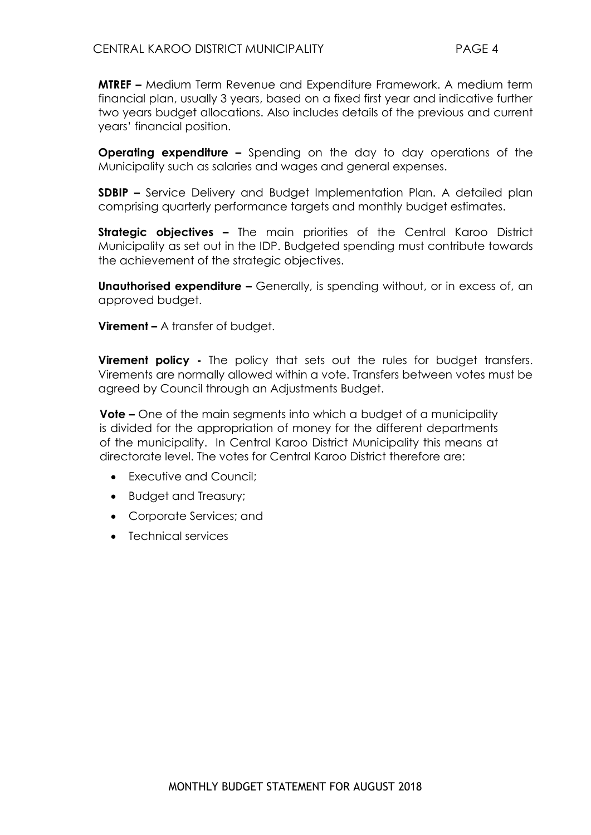**MTREF –** Medium Term Revenue and Expenditure Framework. A medium term financial plan, usually 3 years, based on a fixed first year and indicative further two years budget allocations. Also includes details of the previous and current years' financial position.

**Operating expenditure –** Spending on the day to day operations of the Municipality such as salaries and wages and general expenses.

**SDBIP –** Service Delivery and Budget Implementation Plan. A detailed plan comprising quarterly performance targets and monthly budget estimates.

**Strategic objectives –** The main priorities of the Central Karoo District Municipality as set out in the IDP. Budgeted spending must contribute towards the achievement of the strategic objectives.

**Unauthorised expenditure -** Generally, is spending without, or in excess of, an approved budget.

**Virement –** A transfer of budget.

**Virement policy -** The policy that sets out the rules for budget transfers. Virements are normally allowed within a vote. Transfers between votes must be agreed by Council through an Adjustments Budget.

**Vote –** One of the main segments into which a budget of a municipality is divided for the appropriation of money for the different departments of the municipality. In Central Karoo District Municipality this means at directorate level. The votes for Central Karoo District therefore are:

- Executive and Council:
- Budget and Treasury;
- Corporate Services; and
- Technical services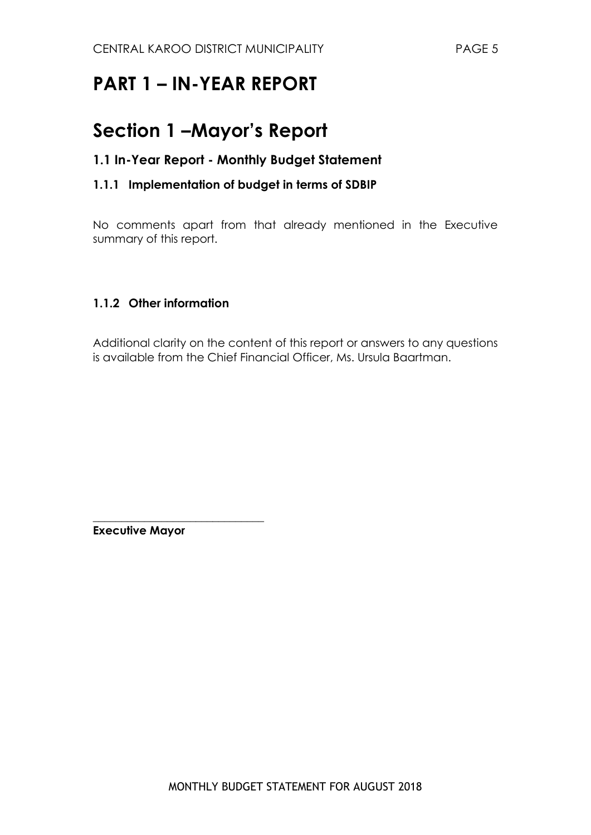### <span id="page-4-1"></span><span id="page-4-0"></span>**PART 1 – IN-YEAR REPORT**

### **Section 1 –Mayor's Report**

#### **1.1 In-Year Report - Monthly Budget Statement**

#### **1.1.1 Implementation of budget in terms of SDBIP**

No comments apart from that already mentioned in the Executive summary of this report.

#### **1.1.2 Other information**

Additional clarity on the content of this report or answers to any questions is available from the Chief Financial Officer, Ms. Ursula Baartman.

**Executive Mayor**

\_\_\_\_\_\_\_\_\_\_\_\_\_\_\_\_\_\_\_\_\_\_\_\_\_\_\_\_\_\_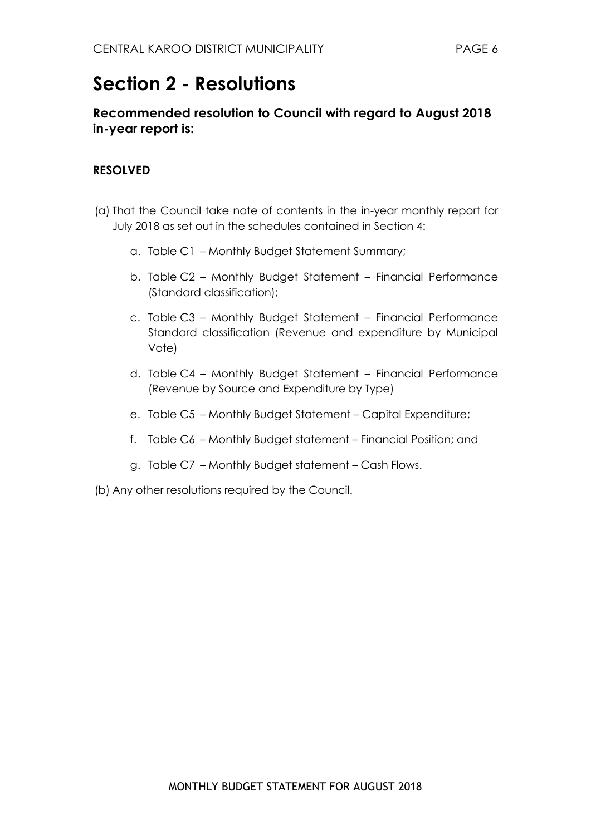### <span id="page-5-0"></span>**Section 2 - Resolutions**

#### **Recommended resolution to Council with regard to August 2018 in-year report is:**

#### **RESOLVED**

- (a) That the Council take note of contents in the in-year monthly report for July 2018 as set out in the schedules contained in Section 4:
	- a. Table C1 Monthly Budget Statement Summary;
	- b. Table C2 Monthly Budget Statement Financial Performance (Standard classification);
	- c. Table C3 Monthly Budget Statement Financial Performance Standard classification (Revenue and expenditure by Municipal Vote)
	- d. Table C4 Monthly Budget Statement Financial Performance (Revenue by Source and Expenditure by Type)
	- e. Table C5 Monthly Budget Statement Capital Expenditure;
	- f. Table C6 Monthly Budget statement Financial Position; and
	- g. Table C7 Monthly Budget statement Cash Flows.
- (b) Any other resolutions required by the Council.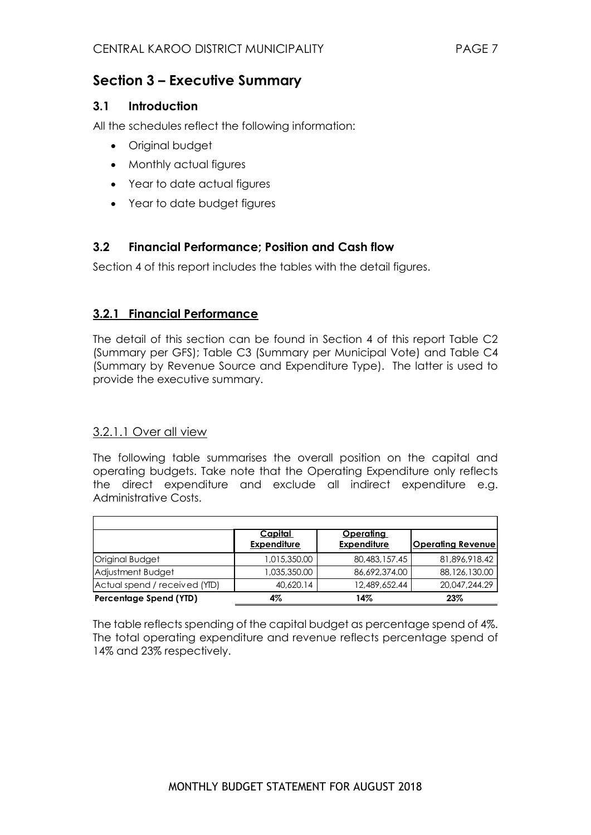#### <span id="page-6-0"></span>**Section 3 – Executive Summary**

#### **3.1 Introduction**

All the schedules reflect the following information:

- Original budget
- Monthly actual figures
- Year to date actual figures
- Year to date budget figures

#### **3.2 Financial Performance; Position and Cash flow**

Section 4 of this report includes the tables with the detail figures.

#### **3.2.1 Financial Performance**

The detail of this section can be found in Section 4 of this report Table C2 (Summary per GFS); Table C3 (Summary per Municipal Vote) and Table C4 (Summary by Revenue Source and Expenditure Type). The latter is used to provide the executive summary.

#### 3.2.1.1 Over all view

The following table summarises the overall position on the capital and operating budgets. Take note that the Operating Expenditure only reflects the direct expenditure and exclude all indirect expenditure e.g. Administrative Costs.

|                               | <u>Capital</u><br><b>Expenditure</b> | <u>Operating</u><br><b>Expenditure</b> | <b>Operating Revenuel</b> |
|-------------------------------|--------------------------------------|----------------------------------------|---------------------------|
| Original Budget               | 1,015,350.00                         | 80,483,157.45                          | 81,896,918.42             |
| Adjustment Budget             | 1,035,350.00                         | 86,692,374,00                          | 88,126,130.00             |
| Actual spend / received (YID) | 40,620.14                            | 12,489,652.44                          | 20,047,244.29             |
| Percentage Spend (YTD)        | 4%                                   | 14%                                    | 23%                       |

The table reflects spending of the capital budget as percentage spend of 4%. The total operating expenditure and revenue reflects percentage spend of 14% and 23% respectively.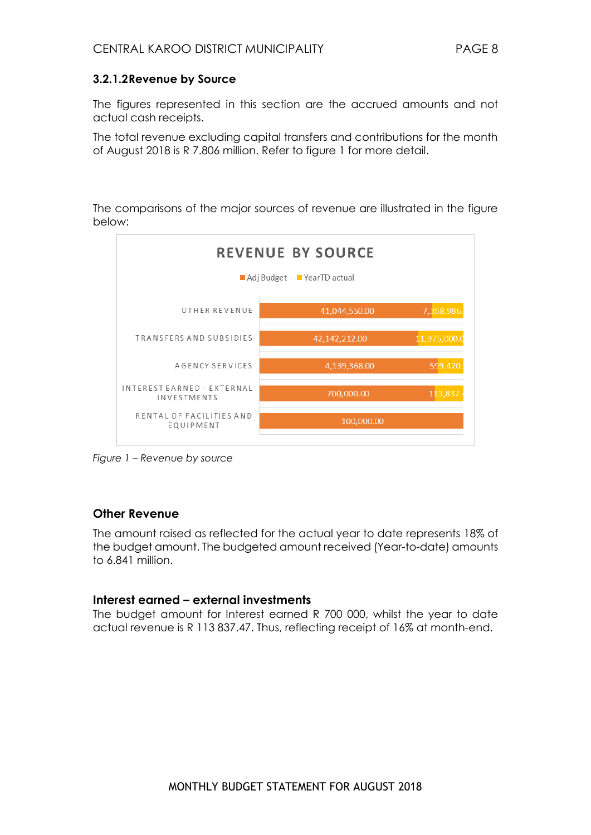#### **3.2.1.2Revenue by Source**

The figures represented in this section are the accrued amounts and not actual cash receipts.

The total revenue excluding capital transfers and contributions for the month of August 2018 is R 7.806 million. Refer to figure 1 for more detail.

The comparisons of the major sources of revenue are illustrated in the figure below:



*Figure 1 – Revenue by source* 

#### **Other Revenue**

The amount raised as reflected for the actual year to date represents 18% of the budget amount. The budgeted amount received (Year-to-date) amounts to 6.841 million.

#### **Interest earned – external investments**

The budget amount for Interest earned R 700 000, whilst the year to date actual revenue is R 113 837.47. Thus, reflecting receipt of 16% at month-end.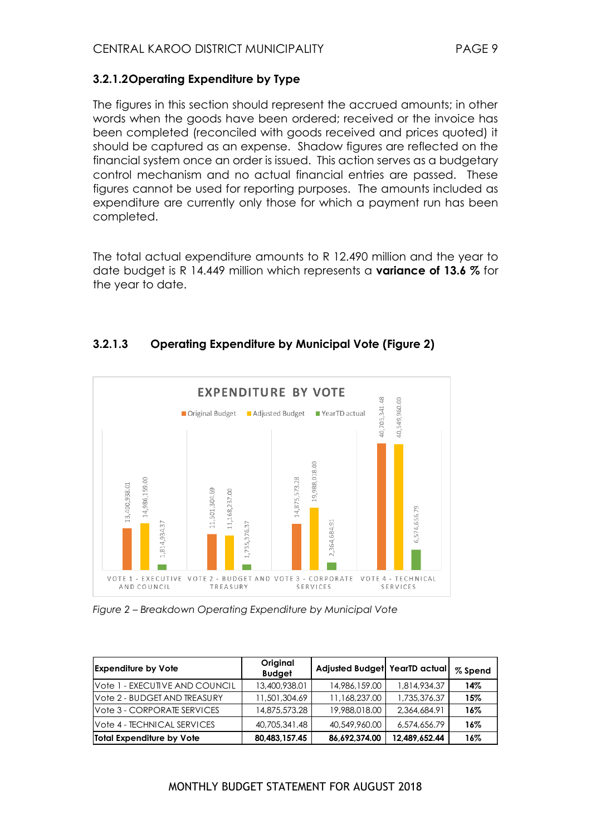#### **3.2.1.2Operating Expenditure by Type**

The figures in this section should represent the accrued amounts; in other words when the goods have been ordered; received or the invoice has been completed (reconciled with goods received and prices quoted) it should be captured as an expense. Shadow figures are reflected on the financial system once an order is issued. This action serves as a budgetary control mechanism and no actual financial entries are passed. These figures cannot be used for reporting purposes. The amounts included as expenditure are currently only those for which a payment run has been completed.

The total actual expenditure amounts to R 12.490 million and the year to date budget is R 14.449 million which represents a **variance of 13.6 %** for the year to date.

#### **3.2.1.3 Operating Expenditure by Municipal Vote (Figure 2)**



*Figure 2 – Breakdown Operating Expenditure by Municipal Vote* 

| <b>Expenditure by Vote</b>     | Original<br><b>Budget</b> | Adjusted Budget YearTD actual |               | % Spend |
|--------------------------------|---------------------------|-------------------------------|---------------|---------|
| Vote 1 - EXECUTIVE AND COUNCIL | 13,400,938.01             | 14,986,159,00                 | 1.814.934.37  | 14%     |
| Vote 2 - BUDGET AND TREASURY   | 11,501,304.69             | 11,168,237.00                 | 1,735,376.37  | 15%     |
| Vote 3 - CORPORATE SERVICES    | 14,875,573.28             | 19,988,018,00                 | 2,364,684.91  | 16%     |
| Vote 4 - TECHNICAL SERVICES    | 40,705,341.48             | 40,549,960.00                 | 6,574,656.79  | 16%     |
| Total Expenditure by Vote      | 80,483,157.45             | 86,692,374.00                 | 12,489,652.44 | 16%     |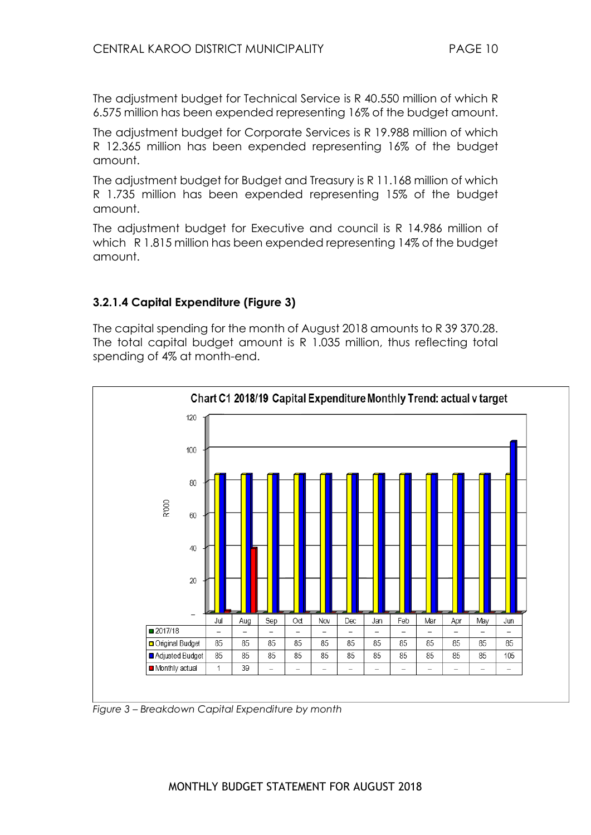The adjustment budget for Technical Service is R 40.550 million of which R 6.575 million has been expended representing 16% of the budget amount.

The adjustment budget for Corporate Services is R 19.988 million of which R 12.365 million has been expended representing 16% of the budget amount.

The adjustment budget for Budget and Treasury is R 11.168 million of which R 1.735 million has been expended representing 15% of the budget amount.

The adjustment budget for Executive and council is R 14.986 million of which R 1.815 million has been expended representing 14% of the budget amount.

#### **3.2.1.4 Capital Expenditure (Figure 3)**

The capital spending for the month of August 2018 amounts to R 39 370.28. The total capital budget amount is R 1.035 million, thus reflecting total spending of 4% at month-end.



*Figure 3 – Breakdown Capital Expenditure by month*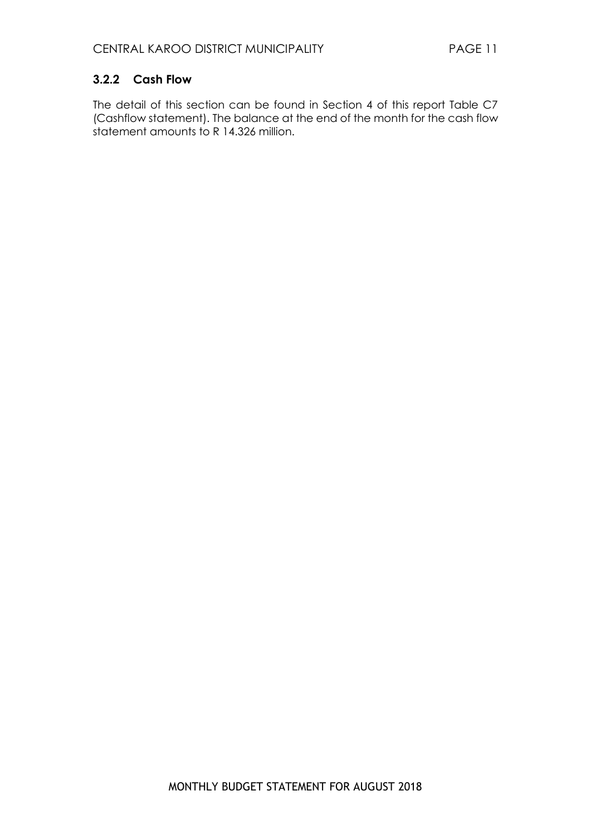#### **3.2.2 Cash Flow**

The detail of this section can be found in Section 4 of this report Table C7 (Cashflow statement). The balance at the end of the month for the cash flow statement amounts to R 14.326 million.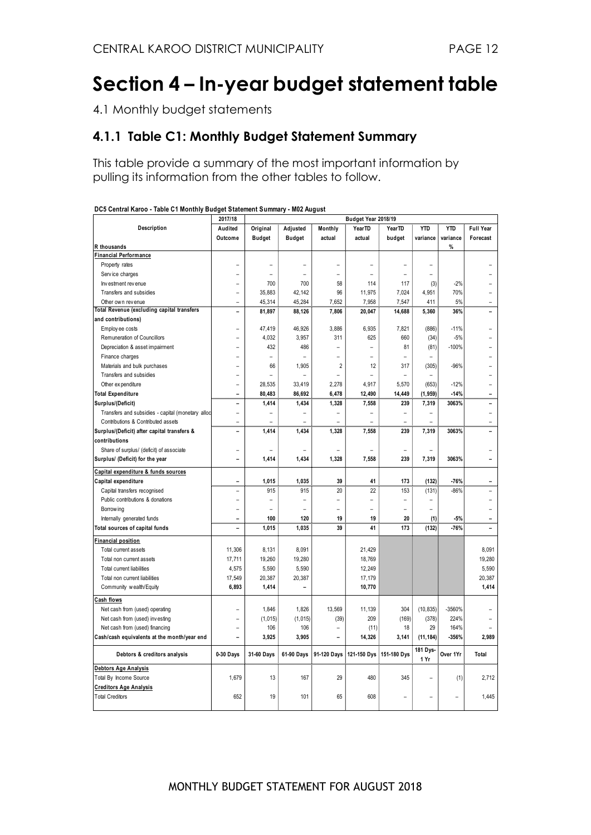### <span id="page-11-0"></span>**Section 4 – In-year budget statement table**

4.1 Monthly budget statements

#### **4.1.1 Table C1: Monthly Budget Statement Summary**

This table provide a summary of the most important information by pulling its information from the other tables to follow.

|                                                   | 2017/18        |                |                          |                | Budget Year 2018/19      |                |                |            |                  |
|---------------------------------------------------|----------------|----------------|--------------------------|----------------|--------------------------|----------------|----------------|------------|------------------|
| Description                                       | Audited        | Original       | Adjusted                 | Monthly        | YearTD                   | YearTD         | <b>YTD</b>     | <b>YTD</b> | <b>Full Year</b> |
|                                                   | Outcome        | <b>Budget</b>  | <b>Budget</b>            | actual         | actual                   | budget         | variance       | variance   | Forecast         |
| R thousands                                       |                |                |                          |                |                          |                |                | %          |                  |
| <b>Financial Performance</b>                      |                |                |                          |                |                          |                |                |            |                  |
| Property rates                                    |                |                |                          |                | L.                       |                | L,             |            |                  |
| Service charges                                   |                |                | L.                       | L              | L.                       |                | L,             |            |                  |
| Investment revenue                                |                | 700            | 700                      | 58             | 114                      | 117            | (3)            | $-2%$      |                  |
| Transfers and subsidies                           |                | 35.883         | 42.142                   | 96             | 11.975                   | 7.024          | 4.951          | 70%        |                  |
| Other own revenue                                 |                | 45,314         | 45,284                   | 7,652          | 7,958                    | 7,547          | 411            | 5%         |                  |
| <b>Total Revenue (excluding capital transfers</b> | L.             | 81,897         | 88,126                   | 7,806          | 20,047                   | 14,688         | 5,360          | 36%        |                  |
| and contributions)                                |                |                |                          |                |                          |                |                |            |                  |
| Employ ee costs                                   |                | 47,419         | 46,926                   | 3,886          | 6,935                    | 7,821          | (886)          | $-11%$     |                  |
| Remuneration of Councillors                       |                | 4,032          | 3,957                    | 311            | 625                      | 660            | (34)           | $-5%$      |                  |
| Depreciation & asset impairment                   |                | 432            | 486                      | L,             | $\overline{\phantom{a}}$ | 81             | (81)           | $-100%$    |                  |
| Finance charges                                   |                | L.             | L.                       | L              | L.                       | L.             |                |            |                  |
| Materials and bulk purchases                      |                | 66             | 1,905                    | $\overline{2}$ | 12                       | 317            | (305)          | $-96%$     |                  |
| Transfers and subsidies                           |                |                | ÷                        | L,             |                          |                |                |            |                  |
| Other expenditure                                 |                | 28,535         | 33,419                   | 2,278          | 4,917                    | 5,570          | (653)          | $-12%$     |                  |
| <b>Total Expenditure</b>                          |                | 80,483         | 86,692                   | 6.478          | 12.490                   | 14.449         | (1, 959)       | $-14%$     |                  |
| Surplus/(Deficit)                                 | -              | 1,414          | 1,434                    | 1,328          | 7,558                    | 239            | 7,319          | 3063%      |                  |
| Transfers and subsidies - capital (monetary alloc | L,             | $\overline{a}$ | $\overline{\phantom{0}}$ | $\overline{a}$ | ÷                        | $\overline{a}$ |                |            |                  |
| Contributions & Contributed assets                | $\rightarrow$  |                | ۳                        | ۳              |                          | L.             |                |            |                  |
| Surplus/(Deficit) after capital transfers &       | $\overline{a}$ | 1.414          | 1,434                    | 1,328          | 7.558                    | 239            | 7.319          | 3063%      |                  |
| contributions                                     |                |                |                          |                |                          |                |                |            |                  |
| Share of surplus/ (deficit) of associate          |                |                |                          |                |                          |                |                |            |                  |
| Surplus/ (Deficit) for the year                   |                | 1,414          | 1,434                    | 1,328          | 7,558                    | 239            | 7,319          | 3063%      |                  |
| Capital expenditure & funds sources               |                |                |                          |                |                          |                |                |            |                  |
| Capital expenditure                               | $\overline{a}$ | 1,015          | 1,035                    | 39             | 41                       | 173            | (132)          | $-76%$     |                  |
| Capital transfers recognised                      |                | 915            | 915                      | 20             | 22                       | 153            | (131)          | $-86%$     |                  |
| Public contributions & donations                  | L              | L.             | L.                       | L              | L,                       | $\overline{a}$ |                |            |                  |
| Borrow ing                                        |                | $\rightarrow$  | L.                       |                |                          |                | $\overline{a}$ |            |                  |
| Internally generated funds                        |                | 100            | 120                      | 19             | 19                       | 20             | (1)            | $-5%$      |                  |
| Total sources of capital funds                    | $\overline{a}$ | 1,015          | 1,035                    | 39             | 41                       | 173            | (132)          | $-76%$     |                  |
| <b>Financial position</b>                         |                |                |                          |                |                          |                |                |            |                  |
| Total current assets                              | 11,306         | 8,131          | 8,091                    |                | 21,429                   |                |                |            | 8,091            |
| Total non current assets                          | 17,711         | 19,260         | 19,280                   |                | 18,769                   |                |                |            | 19,280           |
| Total current liabilities                         | 4,575          | 5,590          | 5,590                    |                | 12,249                   |                |                |            | 5,590            |
| Total non current liabilities                     | 17,549         | 20,387         | 20,387                   |                | 17,179                   |                |                |            | 20,387           |
| Community wealth/Equity                           | 6,893          | 1,414          | $\overline{\phantom{0}}$ |                | 10,770                   |                |                |            | 1,414            |
| Cash flows                                        |                |                |                          |                |                          |                |                |            |                  |
| Net cash from (used) operating                    |                | 1,846          | 1,826                    | 13,569         | 11,139                   | 304            | (10, 835)      | -3560%     |                  |
| Net cash from (used) investing                    |                | (1, 015)       | (1,015)                  | (39)           | 209                      | (169)          | (378)          | 224%       |                  |
| Net cash from (used) financing                    |                | 106            | 106                      | L,             | (11)                     | 18             | 29             | 164%       |                  |
| Cash/cash equivalents at the month/year end       |                | 3,925          | 3,905                    |                | 14,326                   | 3,141          | (11, 184)      | $-356%$    | 2,989            |
| Debtors & creditors analysis                      | 0-30 Days      | 31-60 Days     | 61-90 Days               | 91-120 Days    | 121-150 Dys              | 151-180 Dys    | 181 Dys-       | Over 1Yr   | Total            |
|                                                   |                |                |                          |                |                          |                | 1 Yr           |            |                  |
| Debtors Age Analysis                              |                |                |                          |                |                          |                |                |            |                  |
| Total By Income Source                            | 1,679          | 13             | 167                      | 29             | 480                      | 345            |                | (1)        | 2,712            |
| <b>Creditors Age Analysis</b>                     |                |                |                          |                |                          |                |                |            |                  |
| <b>Total Creditors</b>                            | 652            | 19             | 101                      | 65             | 608                      |                |                |            | 1,445            |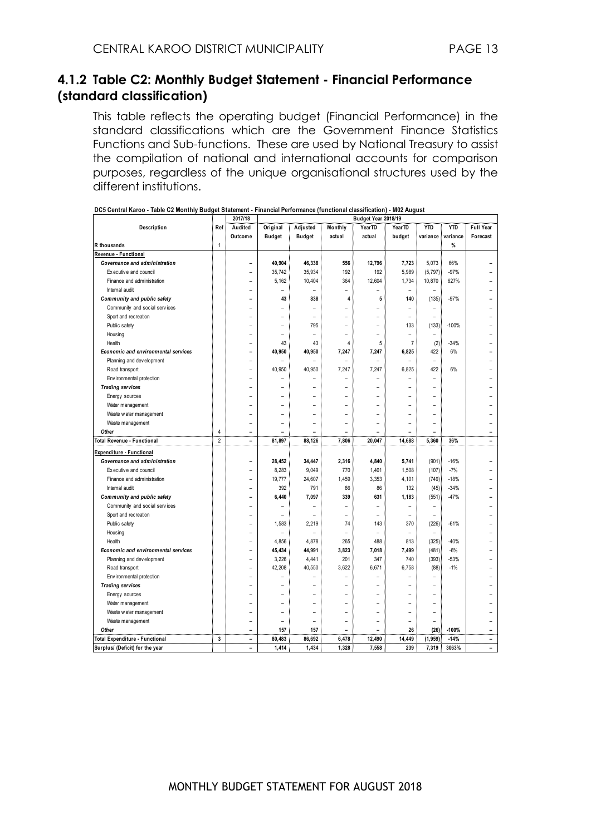#### **4.1.2 Table C2: Monthly Budget Statement - Financial Performance (standard classification)**

This table reflects the operating budget (Financial Performance) in the standard classifications which are the Government Finance Statistics Functions and Sub-functions. These are used by National Treasury to assist the compilation of national and international accounts for comparison purposes, regardless of the unique organisational structures used by the different institutions.

|                                            |                | 2017/18        | Budget Year 2018/19 |                          |         |        |                |                          |            |                  |
|--------------------------------------------|----------------|----------------|---------------------|--------------------------|---------|--------|----------------|--------------------------|------------|------------------|
| Description                                | Ref            | Audited        | Original            | Adjusted                 | Monthly | YearTD | YearTD         | <b>YTD</b>               | <b>YTD</b> | <b>Full Year</b> |
|                                            |                | Outcome        | <b>Budget</b>       | <b>Budget</b>            | actual  | actual | budget         | variance                 | variance   | Forecast         |
| R thousands                                | $\mathbf{1}$   |                |                     |                          |         |        |                |                          | %          |                  |
| Revenue - Functional                       |                |                |                     |                          |         |        |                |                          |            |                  |
| Governance and administration              |                | ۳              | 40,904              | 46,338                   | 556     | 12,796 | 7,723          | 5,073                    | 66%        |                  |
| Ex ecutive and council                     |                | -              | 35,742              | 35,934                   | 192     | 192    | 5,989          | (5, 797)                 | $-97%$     |                  |
| Finance and administration                 |                |                | 5,162               | 10,404                   | 364     | 12,604 | 1,734          | 10,870                   | 627%       |                  |
| Internal audit                             |                | $\overline{a}$ | ۰                   | ۰                        | ۳       | -      | ۰              |                          |            |                  |
| Community and public safety                |                |                | 43                  | 838                      | 4       | 5      | 140            | (135)                    | $-97%$     |                  |
| Community and social services              |                | ۰              | ÷                   | ۰                        | ۰       |        |                | $\overline{a}$           |            |                  |
| Sport and recreation                       |                |                |                     | ۰                        | ÷       | -      |                | ۰                        |            |                  |
| Public safety                              |                |                | L.                  | 795                      | L.      | L.     | 133            | (133)                    | $-100%$    |                  |
| Housing                                    |                |                |                     | ۰                        | L       |        |                | $\overline{\phantom{0}}$ |            |                  |
| Health                                     |                |                | 43                  | 43                       | 4       | 5      | $\overline{7}$ | (2)                      | $-34%$     |                  |
| <b>Economic and environmental services</b> |                |                | 40,950              | 40,950                   | 7,247   | 7,247  | 6,825          | 422                      | 6%         |                  |
| Planning and development                   |                |                |                     | L.                       | L.      |        |                | ÷                        |            |                  |
| Road transport                             |                |                | 40,950              | 40,950                   | 7,247   | 7,247  | 6,825          | 422                      | 6%         |                  |
| Env ironmental protection                  |                |                |                     | $\overline{\phantom{a}}$ | L.      |        |                | ä,                       |            |                  |
| <b>Trading services</b>                    |                |                |                     |                          | L       |        |                | ۰                        |            |                  |
| Energy sources                             |                |                |                     |                          | ۳       |        |                |                          |            |                  |
| Water management                           |                |                |                     |                          |         |        |                |                          |            |                  |
| Waste water management                     |                |                |                     |                          | ۰       |        |                | ÷                        |            |                  |
| Waste management                           |                | L.             | L.                  | ÷                        | ÷       |        |                | ÷                        |            |                  |
| Other                                      | 4              | L.             |                     |                          |         |        |                | L,                       |            |                  |
| Total Revenue - Functional                 | $\overline{2}$ | ÷,             | 81,897              | 88,126                   | 7,806   | 20,047 | 14,688         | 5,360                    | 36%        | ۳                |
| <b>Expenditure - Functional</b>            |                |                |                     |                          |         |        |                |                          |            |                  |
| Governance and administration              |                | -              | 28,452              | 34,447                   | 2,316   | 4,840  | 5,741          | (901)                    | $-16%$     |                  |
| Ex ecutive and council                     |                | -              | 8,283               | 9,049                    | 770     | 1,401  | 1,508          | (107)                    | $-7%$      |                  |
| Finance and administration                 |                | $\overline{a}$ | 19,777              | 24,607                   | 1,459   | 3,353  | 4,101          | (749)                    | $-18%$     |                  |
| Internal audit                             |                | -              | 392                 | 791                      | 86      | 86     | 132            | (45)                     | $-34%$     |                  |
| Community and public safety                |                |                | 6,440               | 7,097                    | 339     | 631    | 1,183          | (551)                    | $-47%$     |                  |
| Community and social services              |                | ۰              |                     | ۰                        | L,      |        |                | ۰                        |            |                  |
| Sport and recreation                       |                |                |                     | ۰                        | ۰       | ۰      |                | $\overline{\phantom{a}}$ |            |                  |
| Public safety                              |                | ۰              | 1,583               | 2,219                    | 74      | 143    | 370            | (226)                    | $-61%$     |                  |
| Housing                                    |                | ۰              | ÷                   | ۰                        | ۳       | ۰      | $\overline{a}$ | $\overline{a}$           |            |                  |
| Health                                     |                | L.             | 4,856               | 4,878                    | 265     | 488    | 813            | (325)                    | $-40%$     |                  |
| <b>Economic and environmental services</b> |                |                | 45,434              | 44,991                   | 3,823   | 7,018  | 7,499          | (481)                    | $-6%$      |                  |
| Planning and development                   |                | L.             | 3,226               | 4,441                    | 201     | 347    | 740            | (393)                    | $-53%$     |                  |
| Road transport                             |                |                | 42,208              | 40,550                   | 3,622   | 6,671  | 6,758          | (88)                     | $-1%$      |                  |
| Env ironmental protection                  |                |                |                     |                          |         |        |                |                          |            |                  |
| <b>Trading services</b>                    |                |                |                     |                          | Ē,      |        |                |                          |            |                  |
| Energy sources                             |                |                |                     |                          |         |        |                |                          |            |                  |
| Water management                           |                |                |                     | $\overline{a}$           | L.      |        |                |                          |            |                  |
| Waste water management                     |                |                |                     | ۰                        | ۰       |        |                | ۰                        |            |                  |
| Waste management                           |                | ۰              | ÷                   | ÷                        | L,      |        |                | ä,                       |            |                  |
| Other                                      |                |                | 157                 | 157                      | L.      |        | 26             | (26)                     | $-100%$    |                  |
| <b>Total Expenditure - Functional</b>      | 3              | $\blacksquare$ | 80,483              | 86,692                   | 6,478   | 12,490 | 14,449         | (1, 959)                 | $-14%$     | ۰                |
| Surplus/ (Deficit) for the year            |                | $\overline{a}$ | 1,414               | 1,434                    | 1,328   | 7,558  | 239            | 7,319                    | 3063%      | ÷                |
|                                            |                |                |                     |                          |         |        |                |                          |            |                  |

|  | DC5 Central Karoo - Table C2 Monthly Budget Statement - Financial Performance (functional classification) - M02 August |
|--|------------------------------------------------------------------------------------------------------------------------|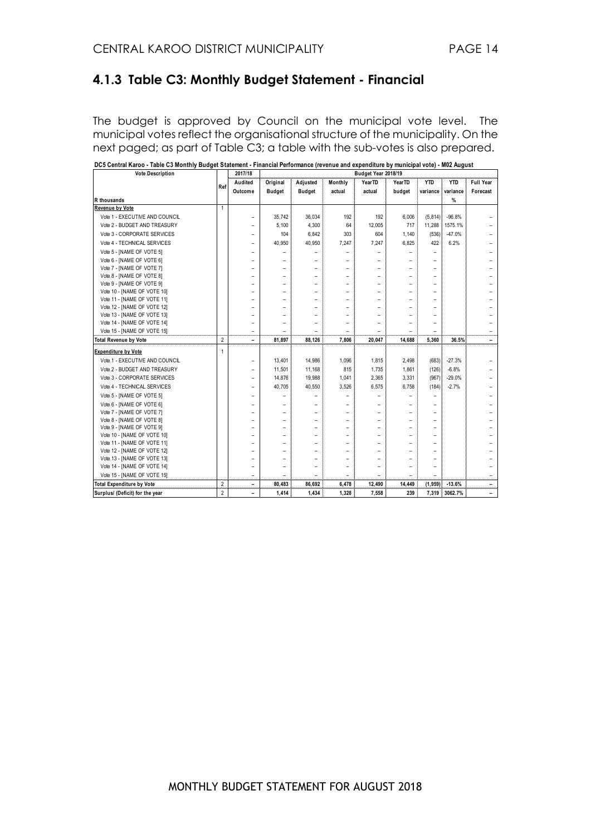#### **4.1.3 Table C3: Monthly Budget Statement - Financial**

The budget is approved by Council on the municipal vote level. The municipal votes reflect the organisational structure of the municipality. On the next paged; as part of Table C3; a table with the sub-votes is also prepared.

| <b>Vote Description</b>          |                | 2017/18                  |                |                          |                          | Budget Year 2018/19 |                          |                          |            |           |
|----------------------------------|----------------|--------------------------|----------------|--------------------------|--------------------------|---------------------|--------------------------|--------------------------|------------|-----------|
|                                  | Ref            | Audited                  | Original       | Adjusted                 | Monthly                  | YearTD              | YearTD                   | <b>YTD</b>               | <b>YTD</b> | Full Year |
|                                  |                | Outcome                  | <b>Budget</b>  | <b>Budget</b>            | actual                   | actual              | budget                   | variance                 | variance   | Forecast  |
| R thousands                      |                |                          |                |                          |                          |                     |                          |                          | %          |           |
| <b>Revenue by Vote</b>           | 1              |                          |                |                          |                          |                     |                          |                          |            |           |
| Vote 1 - EXECUTIVE AND COUNCIL   |                |                          | 35.742         | 36.034                   | 192                      | 192                 | 6,006                    | (5, 814)                 | $-96.8%$   |           |
| Vote 2 - BUDGET AND TREASURY     |                | ۰                        | 5,100          | 4,300                    | 64                       | 12,005              | 717                      | 11,288                   | 1575.1%    |           |
| Vote 3 - CORPORATE SERVICES      |                | ۰                        | 104            | 6,842                    | 303                      | 604                 | 1,140                    | (536)                    | $-47.0%$   |           |
| Vote 4 - TECHNICAL SERVICES      |                | $\overline{\phantom{0}}$ | 40,950         | 40,950                   | 7,247                    | 7,247               | 6,825                    | 422                      | 6.2%       |           |
| Vote 5 - [NAME OF VOTE 5]        |                | ۰                        | $\overline{a}$ | $\overline{\phantom{a}}$ | $\overline{a}$           | -                   |                          | -                        |            |           |
| Vote 6 - [NAME OF VOTE 6]        |                | $\overline{a}$           | ۰              | $\overline{\phantom{a}}$ | ۰                        |                     |                          | ۰                        |            |           |
| Vote 7 - [NAME OF VOTE 7]        |                | $\overline{a}$           | ۰              | ۰                        | ۰                        |                     | $\overline{\phantom{a}}$ | ۰                        |            |           |
| Vote 8 - [NAME OF VOTE 8]        |                | ۰                        |                | ۰                        | ۰                        |                     |                          | -                        |            |           |
| Vote 9 - [NAME OF VOTE 9]        |                |                          |                | ۰                        |                          |                     |                          | -                        |            |           |
| Vote 10 - [NAME OF VOTE 10]      |                | $\overline{\phantom{a}}$ |                | ۰                        | $\overline{\phantom{a}}$ |                     |                          | -                        |            |           |
| Vote 11 - [NAME OF VOTE 11]      |                | ۰                        |                | ۰                        |                          |                     |                          | -                        |            |           |
| Vote 12 - [NAME OF VOTE 12]      |                |                          |                | ۰                        |                          |                     |                          | -                        |            |           |
| Vote 13 - [NAME OF VOTE 13]      |                |                          |                |                          |                          |                     |                          |                          |            |           |
| Vote 14 - [NAME OF VOTE 14]      |                |                          |                |                          |                          |                     |                          |                          |            |           |
| Vote 15 - [NAME OF VOTE 15]      |                | $\overline{\phantom{a}}$ |                |                          | ۰                        |                     |                          | $\overline{\phantom{a}}$ |            |           |
| <b>Total Revenue by Vote</b>     | $\overline{2}$ | ۰                        | 81,897         | 88.126                   | 7.806                    | 20,047              | 14,688                   | 5,360                    | 36.5%      | ٠         |
| <b>Expenditure by Vote</b>       | $\mathbf{1}$   |                          |                |                          |                          |                     |                          |                          |            |           |
| Vote 1 - EXECUTIVE AND COUNCIL   |                | ۰                        | 13,401         | 14,986                   | 1,096                    | 1,815               | 2,498                    | (683)                    | $-27.3%$   |           |
| Vote 2 - BUDGET AND TREASURY     |                | $\overline{\phantom{a}}$ | 11,501         | 11,168                   | 815                      | 1,735               | 1,861                    | (126)                    | $-6.8%$    |           |
| Vote 3 - CORPORATE SERVICES      |                | ۰                        | 14,876         | 19,988                   | 1.041                    | 2,365               | 3,331                    | (967)                    | $-29.0%$   |           |
| Vote 4 - TECHNICAL SERVICES      |                | $\overline{\phantom{a}}$ | 40,705         | 40,550                   | 3,526                    | 6,575               | 6,758                    | (184)                    | $-2.7%$    |           |
| Vote 5 - [NAME OF VOTE 5]        |                | ۰                        |                |                          | ۰                        |                     |                          | ۰                        |            |           |
| Vote 6 - [NAME OF VOTE 6]        |                | -                        |                | ۰                        |                          |                     |                          |                          |            |           |
| Vote 7 - [NAME OF VOTE 7]        |                |                          |                | ۰                        |                          |                     |                          | ۰                        |            |           |
| Vote 8 - [NAME OF VOTE 8]        |                | ۰                        |                | ۰                        | ۰                        |                     |                          | -                        |            |           |
| Vote 9 - [NAME OF VOTE 9]        |                | ۰                        |                | ۰                        | ۰                        |                     | ۰                        |                          |            |           |
| Vote 10 - [NAME OF VOTE 10]      |                |                          |                | ۰                        |                          |                     |                          | -                        |            |           |
| Vote 11 - [NAME OF VOTE 11]      |                |                          |                | ۰                        |                          |                     |                          |                          |            |           |
| Vote 12 - [NAME OF VOTE 12]      |                | ۰                        |                | ÷                        |                          |                     |                          | -                        |            |           |
| Vote 13 - [NAME OF VOTE 13]      |                |                          |                |                          |                          |                     |                          |                          |            |           |
| Vote 14 - [NAME OF VOTE 14]      |                |                          |                | ÷                        | ۰                        |                     |                          | -                        |            |           |
| Vote 15 - [NAME OF VOTE 15]      |                | ۰                        |                |                          | ۰                        |                     |                          |                          |            | ۰         |
| <b>Total Expenditure by Vote</b> | $\overline{2}$ | ۰                        | 80,483         | 86,692                   | 6,478                    | 12,490              | 14,449                   | (1, 959)                 | $-13.6%$   | Ξ.        |
| Surplus/ (Deficit) for the year  | $\overline{2}$ | -                        | 1,414          | 1,434                    | 1,328                    | 7,558               | 239                      | 7.319                    | 3062.7%    | -         |

**DC5 Central Karoo - Table C3 Monthly Budget Statement - Financial Performance (revenue and expenditure by municipal vote) - M02 August**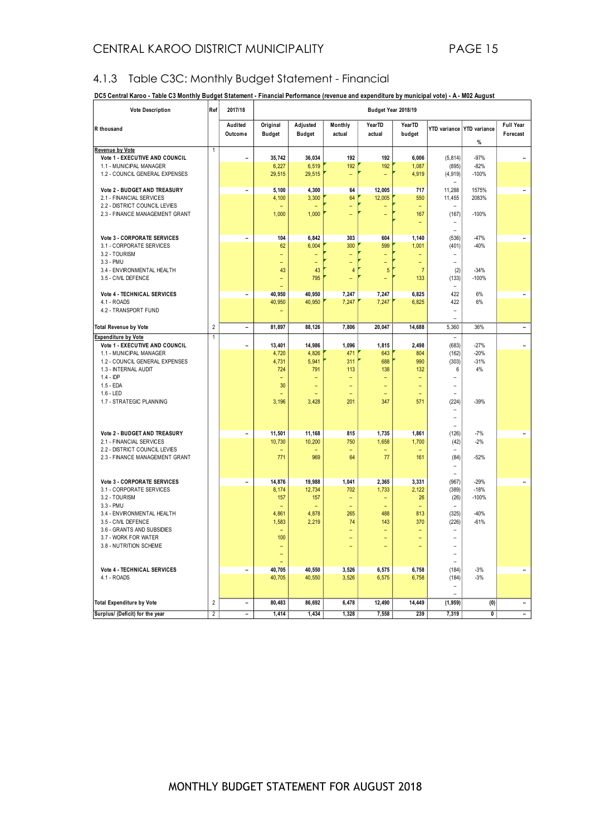#### 4.1.3 Table C3C: Monthly Budget Statement - Financial

| DC5 Central Karoo - Table C3 Monthly Budget Statement - Financial Performance (revenue and expenditure by municipal vote) - A - M02 August |  |  |
|--------------------------------------------------------------------------------------------------------------------------------------------|--|--|
|                                                                                                                                            |  |  |

| <b>Vote Description</b>                                         | Ref                     | 2017/18                      |                           |                                                      |                                                      | Budget Year 2018/19      |                                      |                               |                                |                          |
|-----------------------------------------------------------------|-------------------------|------------------------------|---------------------------|------------------------------------------------------|------------------------------------------------------|--------------------------|--------------------------------------|-------------------------------|--------------------------------|--------------------------|
| R thousand                                                      |                         | Audited<br>Outcome           | Original<br><b>Budget</b> | Adjusted<br><b>Budget</b>                            | Monthly<br>actual                                    | YearTD<br>actual         | YearTD<br>budget                     |                               | YTD variance YTD variance<br>% | Full Year<br>Forecast    |
| <b>Revenue by Vote</b><br>Vote 1 - EXECUTIVE AND COUNCIL        | 1                       | $\qquad \qquad \blacksquare$ | 35,742                    | 36,034                                               | 192                                                  | 192                      | 6,006                                | (5.814)                       | $-97%$                         | Ξ.                       |
| 1.1 - MUNICIPAL MANAGER                                         |                         |                              | 6,227                     | 6,519                                                | 192                                                  | 192                      | 1,087                                | (895)                         | $-82%$                         |                          |
| 1.2 - COUNCIL GENERAL EXPENSES                                  |                         |                              | 29,515                    | 29,515                                               | $\overline{\phantom{a}}$                             | $\overline{\phantom{0}}$ | 4,919                                | (4, 919)                      | $-100%$                        |                          |
|                                                                 |                         |                              |                           |                                                      | 64                                                   |                          | 717                                  |                               |                                |                          |
| Vote 2 - BUDGET AND TREASURY<br>2.1 - FINANCIAL SERVICES        |                         | $\overline{\phantom{a}}$     | 5,100<br>4,100            | 4,300<br>3,300                                       | 64                                                   | 12,005<br>12,005         | 550                                  | 11,288<br>11,455              | 1575%<br>2083%                 | $\overline{\phantom{a}}$ |
| 2.2 - DISTRICT COUNCIL LEVIES                                   |                         |                              |                           |                                                      | $\overline{\phantom{0}}$                             | $\overline{a}$           | $\equiv$                             |                               |                                |                          |
| 2.3 - FINANCE MANAGEMENT GRANT                                  |                         |                              | 1,000                     | 1,000                                                | $\overline{\phantom{a}}$                             | ۳                        | 167                                  | (167)                         | $-100%$                        |                          |
|                                                                 |                         |                              |                           |                                                      |                                                      |                          | $\overline{\phantom{0}}$             |                               |                                |                          |
| <b>Vote 3 - CORPORATE SERVICES</b>                              |                         | $\blacksquare$               | 104                       | 6,842                                                | 303                                                  | 604                      | 1,140                                | (536)                         | -47%                           | $\blacksquare$           |
| 3.1 - CORPORATE SERVICES                                        |                         |                              | 62                        | 6,004                                                | 300                                                  | 599                      | 1,001                                | (401)                         | $-40%$                         |                          |
| 3.2 - TOURISM<br>3.3 - PMU                                      |                         |                              | ۳                         | ۳                                                    | ٠                                                    | ۳                        | ۳                                    | ۰                             |                                |                          |
| 3.4 - ENVIRONMENTAL HEALTH                                      |                         |                              | Ξ<br>43                   | Ξ<br>43                                              | $\overline{\phantom{0}}$<br>4                        | Ξ<br>5                   | $\qquad \qquad -$<br>$\overline{7}$  | (2)                           | $-34%$                         |                          |
| 3.5 - CIVIL DEFENCE                                             |                         |                              | Ξ                         | 795                                                  | ÷,                                                   | $\overline{\phantom{0}}$ | 133                                  | (133)                         | $-100%$                        |                          |
|                                                                 |                         |                              |                           |                                                      |                                                      |                          |                                      |                               |                                |                          |
| Vote 4 - TECHNICAL SERVICES<br>4.1 - ROADS                      |                         | $\overline{\phantom{a}}$     | 40,950<br>40,950          | 40,950<br>40,950                                     | 7,247<br>7,247                                       | 7,247<br>7,247           | 6,825<br>6,825                       | 422<br>422                    | 6%<br>6%                       | $\overline{\phantom{a}}$ |
| 4.2 - TRANSPORT FUND                                            |                         |                              |                           |                                                      |                                                      |                          |                                      |                               |                                |                          |
|                                                                 |                         |                              |                           |                                                      |                                                      |                          |                                      | ۰                             |                                |                          |
| <b>Total Revenue by Vote</b>                                    | $\overline{2}$          | $\overline{a}$               | 81,897                    | 88,126                                               | 7,806                                                | 20,047                   | 14,688                               | 5,360                         | 36%                            | ÷.                       |
| <b>Expenditure by Vote</b><br>Vote 1 - EXECUTIVE AND COUNCIL    | $\mathbf{1}$            | $\overline{\phantom{0}}$     | 13,401                    | 14,986                                               | 1,096                                                | 1,815                    | 2,498                                | (683)                         | $-27%$                         | Ξ.                       |
| 1.1 - MUNICIPAL MANAGER                                         |                         |                              | 4,720                     | 4,826                                                | 471                                                  | 643                      | 804                                  | (162)                         | $-20%$                         |                          |
| 1.2 - COUNCIL GENERAL EXPENSES                                  |                         |                              | 4,731                     | 5,941                                                | 311                                                  | 688                      | 990                                  | (303)                         | $-31%$                         |                          |
| 1.3 - INTERNAL AUDIT                                            |                         |                              | 724                       | 791                                                  | 113                                                  | 138                      | 132                                  | 6                             | 4%                             |                          |
| $1.4 - DP$<br>$1.5 - EDA$                                       |                         |                              | ۳<br>30                   | $\overline{\phantom{0}}$<br>$\overline{\phantom{0}}$ | $\overline{\phantom{a}}$<br>$\overline{\phantom{a}}$ | ÷<br>Ξ                   | $\equiv$<br>$\overline{\phantom{0}}$ | $\equiv$                      |                                |                          |
| $1.6 - LED$                                                     |                         |                              |                           | ÷                                                    | $\equiv$                                             | L,                       | $\equiv$                             |                               |                                |                          |
| 1.7 - STRATEGIC PLANNING                                        |                         |                              | 3,196                     | 3,428                                                | 201                                                  | 347                      | 571                                  | (224)                         | $-39%$                         |                          |
|                                                                 |                         |                              |                           |                                                      |                                                      |                          |                                      | ÷                             |                                |                          |
|                                                                 |                         |                              |                           |                                                      |                                                      |                          |                                      |                               |                                |                          |
| Vote 2 - BUDGET AND TREASURY                                    |                         | $\qquad \qquad -$            | 11,501                    | 11.168                                               | 815                                                  | 1,735                    | 1,861                                | (126)                         | $-7%$                          | $\blacksquare$           |
| 2.1 - FINANCIAL SERVICES                                        |                         |                              | 10,730                    | 10,200                                               | 750                                                  | 1,658                    | 1,700                                | (42)<br>۰                     | $-2%$                          |                          |
| 2.2 - DISTRICT COUNCIL LEVIES<br>2.3 - FINANCE MANAGEMENT GRANT |                         |                              | 771                       | 969                                                  | $\equiv$<br>64                                       | Ξ<br>77                  | 161                                  | (84)                          | $-52%$                         |                          |
|                                                                 |                         |                              |                           |                                                      |                                                      |                          |                                      |                               |                                |                          |
|                                                                 |                         |                              |                           |                                                      |                                                      |                          |                                      |                               |                                |                          |
| Vote 3 - CORPORATE SERVICES<br>3.1 - CORPORATE SERVICES         |                         | $\overline{\phantom{a}}$     | 14,876<br>8,174           | 19,988<br>12,734                                     | 1,041<br>702                                         | 2,365<br>1,733           | 3,331<br>2,122                       | (967)<br>(389)                | $-29%$<br>$-18%$               | $\blacksquare$           |
| 3.2 - TOURISM                                                   |                         |                              | 157                       | 157                                                  | $\equiv$                                             | ÷,                       | 26                                   | (26)                          | $-100%$                        |                          |
| 3.3 - PMU                                                       |                         |                              | ٠                         | $\overline{\phantom{m}}$                             | $\overline{\phantom{a}}$                             | ۳                        | $\overline{\phantom{0}}$             |                               |                                |                          |
| 3.4 - ENVIRONMENTAL HEALTH<br>3.5 - CIVIL DEFENCE               |                         |                              | 4,861<br>1,583            | 4,878<br>2,219                                       | 265<br>74                                            | 488<br>143               | 813<br>370                           | (325)<br>(226)                | $-40%$<br>$-61%$               |                          |
| 3.6 - GRANTS AND SUBSIDIES                                      |                         |                              |                           |                                                      | $\overline{\phantom{0}}$                             | Ξ                        |                                      |                               |                                |                          |
| 3.7 - WORK FOR WATER                                            |                         |                              | 100                       |                                                      | ٠                                                    | ۳                        | $\qquad \qquad -$                    | ۰                             |                                |                          |
| 3.8 - NUTRITION SCHEME                                          |                         |                              |                           |                                                      |                                                      |                          |                                      |                               |                                |                          |
|                                                                 |                         |                              | ÷<br>٠                    |                                                      |                                                      |                          |                                      | -<br>$\overline{\phantom{a}}$ |                                |                          |
| Vote 4 - TECHNICAL SERVICES                                     |                         | $\overline{\phantom{a}}$     | 40,705                    | 40,550                                               | 3,526                                                | 6,575                    | 6,758                                | (184)                         | $-3%$                          | $\blacksquare$           |
| 4.1 - ROADS                                                     |                         |                              | 40,705                    | 40,550                                               | 3,526                                                | 6,575                    | 6,758                                | (184)                         | $-3%$                          |                          |
|                                                                 |                         |                              |                           |                                                      |                                                      |                          |                                      | -                             |                                |                          |
| <b>Total Expenditure by Vote</b>                                | $\overline{\mathbf{c}}$ | $\overline{\phantom{0}}$     | 80,483                    | 86,692                                               | 6,478                                                | 12,490                   | 14,449                               | (1,959)                       | (0)                            | ۰.                       |
| Surplus/ (Deficit) for the year                                 | $\overline{\mathbf{c}}$ | $\qquad \qquad -$            | 1,414                     | 1,434                                                | 1,328                                                | 7,558                    | 239                                  | 7,319                         | 0                              | Ξ.                       |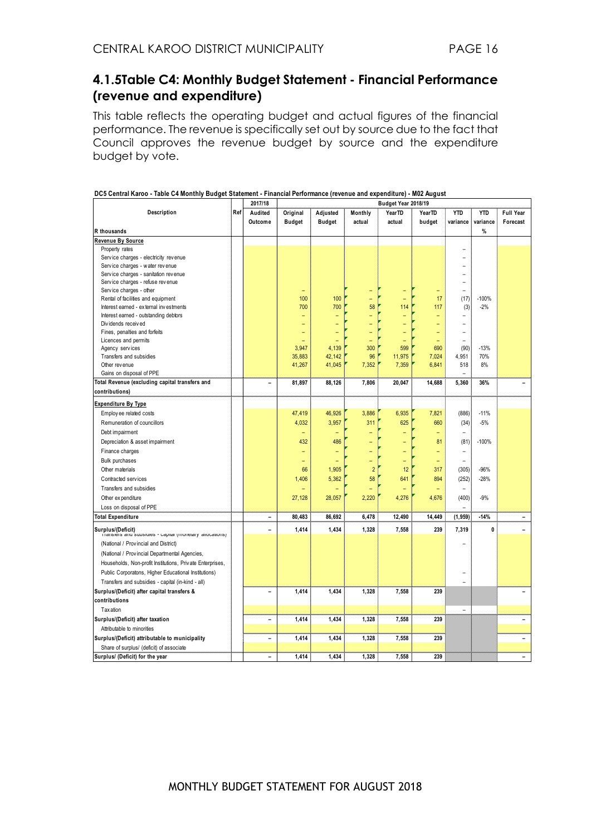#### **4.1.5Table C4: Monthly Budget Statement - Financial Performance (revenue and expenditure)**

This table reflects the operating budget and actual figures of the financial performance. The revenue is specifically set out by source due to the fact that Council approves the revenue budget by source and the expenditure budget by vote.

|                                                                                 |     | 2017/18                  |                   |                          |                | Budget Year 2018/19 |                          |                          |            |                          |
|---------------------------------------------------------------------------------|-----|--------------------------|-------------------|--------------------------|----------------|---------------------|--------------------------|--------------------------|------------|--------------------------|
| Description                                                                     | Ref | Audited                  | Original          | Adjusted                 | Monthly        | YearTD              | <b>YearTD</b>            | <b>YTD</b>               | <b>YTD</b> | Full Year                |
|                                                                                 |     | Outcome                  | <b>Budget</b>     | <b>Budget</b>            | actual         | actual              | budget                   | variance                 | variance   | Forecast                 |
| R thousands                                                                     |     |                          |                   |                          |                |                     |                          |                          | %          |                          |
| Revenue By Source                                                               |     |                          |                   |                          |                |                     |                          |                          |            |                          |
| Property rates                                                                  |     |                          |                   |                          |                |                     |                          |                          |            |                          |
| Service charges - electricity revenue                                           |     |                          |                   |                          |                |                     |                          |                          |            |                          |
| Service charges - water revenue                                                 |     |                          |                   |                          |                |                     |                          |                          |            |                          |
| Service charges - sanitation revenue                                            |     |                          |                   |                          |                |                     |                          |                          |            |                          |
| Service charges - refuse revenue                                                |     |                          |                   |                          |                |                     |                          | $\equiv$                 |            |                          |
| Service charges - other                                                         |     |                          | ۳                 |                          | ٠              |                     | Ξ                        | ÷                        |            |                          |
| Rental of facilities and equipment                                              |     |                          | 100               | 100                      | ۰              | ۳                   | 17                       | (17)                     | $-100%$    |                          |
| Interest earned - external investments                                          |     |                          | 700               | 700                      | 58             | 114                 | 117                      | (3)                      | $-2%$      |                          |
| Interest earned - outstanding debtors                                           |     |                          |                   |                          |                |                     |                          |                          |            |                          |
| Dividends received                                                              |     |                          | $\qquad \qquad -$ |                          |                |                     | $\overline{\phantom{0}}$ | -                        |            |                          |
| Fines, penalties and forfeits                                                   |     |                          |                   |                          | L,             |                     | Ξ                        | $\overline{a}$           |            |                          |
| Licences and permits                                                            |     |                          |                   |                          |                |                     | Ξ                        |                          |            |                          |
| Agency services                                                                 |     |                          | 3,947             | 4,139                    | 300            | 599                 | 690                      | (90)                     | $-13%$     |                          |
| Transfers and subsidies                                                         |     |                          | 35,883            | 42,142                   | 96             | 11,975              | 7,024                    | 4,951                    | 70%        |                          |
| Other revenue                                                                   |     |                          | 41,267            | 41,045                   | 7,352          | 7,359               | 6,841                    | 518                      | 8%         |                          |
| Gains on disposal of PPE                                                        |     |                          |                   |                          |                |                     |                          |                          |            |                          |
| Total Revenue (excluding capital transfers and                                  |     | $\overline{\phantom{0}}$ | 81,897            | 88,126                   | 7,806          | 20,047              | 14,688                   | 5,360                    | 36%        |                          |
| contributions)                                                                  |     |                          |                   |                          |                |                     |                          |                          |            |                          |
| <b>Expenditure By Type</b>                                                      |     |                          |                   |                          |                |                     |                          |                          |            |                          |
| Employ ee related costs                                                         |     |                          | 47,419            | 46,926                   | 3,886          | 6,935               | 7,821                    | (886)                    | $-11%$     |                          |
| Remuneration of councillors                                                     |     |                          | 4,032             | 3,957                    | 311            | 625                 | 660                      | (34)                     | $-5%$      |                          |
| Debt impairment                                                                 |     |                          | $\qquad \qquad -$ |                          |                |                     | $\overline{\phantom{0}}$ |                          |            |                          |
| Depreciation & asset impairment                                                 |     |                          | 432               | 486                      |                |                     | 81                       | (81)                     | $-100%$    |                          |
| Finance charges                                                                 |     |                          | $\equiv$          |                          |                |                     | $\overline{\phantom{0}}$ | $\overline{\phantom{0}}$ |            |                          |
| <b>Bulk purchases</b>                                                           |     |                          | $\qquad \qquad -$ | $\overline{\phantom{0}}$ |                |                     | Ξ                        | $\equiv$                 |            |                          |
|                                                                                 |     |                          |                   |                          |                |                     |                          |                          |            |                          |
| Other materials                                                                 |     |                          | 66                | 1,905                    | $\overline{2}$ | 12                  | 317                      | (305)                    | $-96%$     |                          |
| Contracted services                                                             |     |                          | 1,406             | 5,362                    | 58             | 641                 | 894                      | (252)                    | $-28%$     |                          |
| Transfers and subsidies                                                         |     |                          |                   |                          |                |                     |                          | $\overline{\phantom{0}}$ |            |                          |
| Other expenditure                                                               |     |                          | 27,128            | 28,057                   | 2,220          | 4,276               | 4,676                    | (400)                    | $-9%$      |                          |
| Loss on disposal of PPE                                                         |     |                          |                   |                          |                |                     |                          |                          |            |                          |
| <b>Total Expenditure</b>                                                        |     |                          | 80,483            | 86,692                   | 6,478          | 12,490              | 14,449                   | (1, 959)                 | $-14%$     |                          |
| Surplus/(Deficit)<br>i i ansiers and subsidies - capital (monetary allocations) |     | $\overline{a}$           | 1,414             | 1,434                    | 1,328          | 7,558               | 239                      | 7,319                    | 0          |                          |
| (National / Provincial and District)                                            |     |                          |                   |                          |                |                     |                          |                          |            |                          |
| (National / Provincial Departmental Agencies,                                   |     |                          |                   |                          |                |                     |                          |                          |            |                          |
| Households, Non-profit Institutions, Private Enterprises,                       |     |                          |                   |                          |                |                     |                          |                          |            |                          |
| Public Corporatons, Higher Educational Institutions)                            |     |                          |                   |                          |                |                     |                          |                          |            |                          |
| Transfers and subsidies - capital (in-kind - all)                               |     |                          |                   |                          |                |                     |                          |                          |            |                          |
| Surplus/(Deficit) after capital transfers &                                     |     | ۰                        | 1,414             | 1,434                    | 1,328          | 7,558               | 239                      |                          |            |                          |
| contributions                                                                   |     |                          |                   |                          |                |                     |                          |                          |            |                          |
| Tax ation                                                                       |     |                          |                   |                          |                |                     |                          | $\equiv$                 |            |                          |
|                                                                                 |     |                          |                   |                          |                |                     |                          |                          |            |                          |
| Surplus/(Deficit) after taxation                                                |     | $\overline{a}$           | 1,414             | 1,434                    | 1,328          | 7,558               | 239                      |                          |            | ۰                        |
| Attributable to minorities                                                      |     |                          |                   |                          |                |                     |                          |                          |            |                          |
| Surplus/(Deficit) attributable to municipality                                  |     | $\overline{a}$           | 1,414             | 1,434                    | 1,328          | 7,558               | 239                      |                          |            | ۰                        |
| Share of surplus/ (deficit) of associate                                        |     |                          |                   |                          |                |                     |                          |                          |            |                          |
| Surplus/ (Deficit) for the year                                                 |     | $\overline{\phantom{0}}$ | 1,414             | 1,434                    | 1,328          | 7,558               | 239                      |                          |            | $\overline{\phantom{0}}$ |

#### **DC5 Central Karoo - Table C4 Monthly Budget Statement - Financial Performance (revenue and expenditure) - M02 August**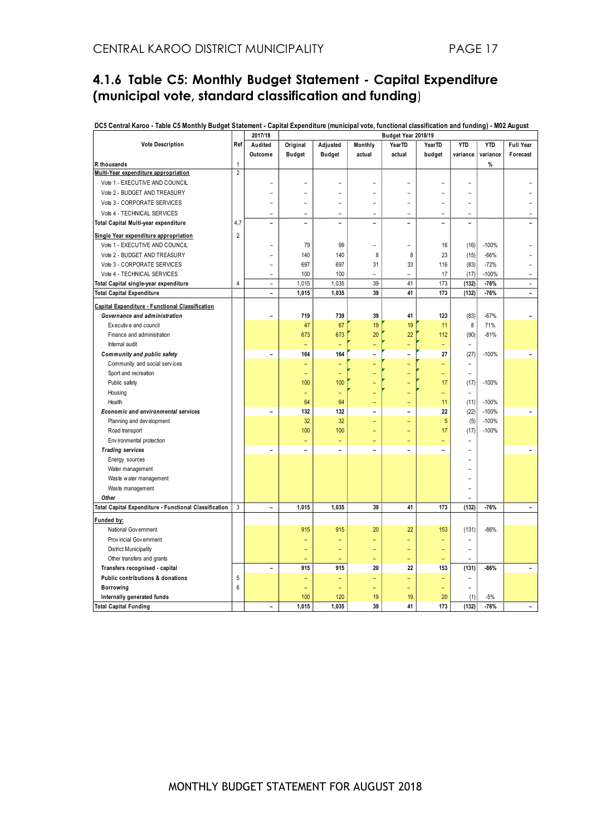#### **4.1.6 Table C5: Monthly Budget Statement - Capital Expenditure (municipal vote, standard classification and funding**)

| DC5 Central Karoo - Table C5 Monthly Budget Statement - Capital Expenditure (municipal vote, functional classification and funding) - M02 August<br>2017/18<br>Budget Year 2018/19 |                |                          |                          |                          |                              |                          |                          |                          |            |                          |
|------------------------------------------------------------------------------------------------------------------------------------------------------------------------------------|----------------|--------------------------|--------------------------|--------------------------|------------------------------|--------------------------|--------------------------|--------------------------|------------|--------------------------|
| <b>Vote Description</b>                                                                                                                                                            | Ref            | Audited                  | Original                 | Adjusted                 | Monthly                      | YearTD                   | YearTD                   | <b>YTD</b>               | <b>YTD</b> | Full Year                |
|                                                                                                                                                                                    |                | Outcome                  | <b>Budget</b>            | <b>Budget</b>            | actual                       | actual                   | budget                   | variance                 | variance   | Forecast                 |
| R thousands                                                                                                                                                                        | $\mathbf{1}$   |                          |                          |                          |                              |                          |                          |                          | $\%$       |                          |
| Multi-Year expenditure appropriation                                                                                                                                               | $\overline{2}$ |                          |                          |                          |                              |                          |                          |                          |            |                          |
| Vote 1 - EXECUTIVE AND COUNCIL                                                                                                                                                     |                | $\overline{\phantom{0}}$ |                          |                          | ▃                            |                          |                          |                          |            |                          |
| Vote 2 - BUDGET AND TREASURY                                                                                                                                                       |                |                          |                          |                          |                              |                          |                          |                          |            |                          |
| Vote 3 - CORPORATE SERVICES                                                                                                                                                        |                | $\equiv$                 |                          |                          | -                            | ۳                        |                          | $\overline{\phantom{0}}$ |            |                          |
| Vote 4 - TECHNICAL SERVICES                                                                                                                                                        |                | ÷                        | ÷                        | L.                       | ۳                            | $\overline{a}$           | ۳                        | ÷                        |            |                          |
| Total Capital Multi-year expenditure                                                                                                                                               | 4,7            | $\overline{a}$           | $\overline{a}$           | $\equiv$                 | $\overline{a}$               | $\equiv$                 | $\overline{a}$           | $\overline{a}$           |            |                          |
| Single Year expenditure appropriation                                                                                                                                              | $\overline{2}$ |                          |                          |                          |                              |                          |                          |                          |            |                          |
| Vote 1 - EXECUTIVE AND COUNCIL                                                                                                                                                     |                | $\overline{\phantom{0}}$ | 79                       | 99                       | $\equiv$                     | $\rightarrow$            | 16                       | (16)                     | $-100%$    |                          |
| Vote 2 - BUDGET AND TREASURY                                                                                                                                                       |                | $\overline{\phantom{0}}$ | 140                      | 140                      | 8                            | 8                        | 23                       | (15)                     | $-66%$     |                          |
| Vote 3 - CORPORATE SERVICES                                                                                                                                                        |                | $\overline{\phantom{a}}$ | 697                      | 697                      | 31                           | 33                       | 116                      | (83)                     | $-72%$     | L.                       |
| Vote 4 - TECHNICAL SERVICES                                                                                                                                                        |                | $\equiv$                 | 100                      | 100                      | $\equiv$                     | $\equiv$                 | 17                       | (17)                     | $-100%$    | $\overline{a}$           |
| Total Capital single-year expenditure                                                                                                                                              | $\overline{4}$ | $\equiv$                 | 1,015                    | 1,035                    | 39                           | 41                       | 173                      | (132)                    | $-76%$     | $\equiv$                 |
| <b>Total Capital Expenditure</b>                                                                                                                                                   |                | $\overline{a}$           | 1,015                    | 1,035                    | 39                           | 41                       | 173                      | (132)                    | $-76%$     | $\overline{a}$           |
| Capital Expenditure - Functional Classification                                                                                                                                    |                |                          |                          |                          |                              |                          |                          |                          |            |                          |
| Governance and administration                                                                                                                                                      |                | $\overline{a}$           | 719                      | 739                      | 39                           | 41                       | 123                      | (83)                     | $-67%$     |                          |
| Executive and council                                                                                                                                                              |                |                          | 47                       | 67                       | 19                           | 19                       | 11                       | 8                        | 71%        |                          |
| Finance and administration                                                                                                                                                         |                |                          | 673                      | 673                      | 20                           | 22                       | 112                      | (90)                     | $-81%$     |                          |
| Internal audit                                                                                                                                                                     |                |                          |                          |                          | -                            |                          | ۳                        |                          |            |                          |
| Community and public safety                                                                                                                                                        |                | $\overline{\phantom{0}}$ | 164                      | 164                      | $\qquad \qquad \blacksquare$ | $\overline{a}$           | 27                       | (27)                     | $-100%$    | $\overline{\phantom{a}}$ |
| Community and social services                                                                                                                                                      |                |                          |                          |                          |                              |                          | ۳                        |                          |            |                          |
| Sport and recreation                                                                                                                                                               |                |                          | ÷                        |                          | ÷                            |                          | ÷                        | $\equiv$                 |            |                          |
| Public safety                                                                                                                                                                      |                |                          | 100                      | 100                      |                              |                          | 17                       | (17)                     | $-100%$    |                          |
| Housing                                                                                                                                                                            |                |                          | $\equiv$                 |                          |                              |                          | Ξ                        |                          |            |                          |
| Health                                                                                                                                                                             |                |                          | 64                       | 64                       |                              |                          | 11                       | (11)                     | $-100%$    |                          |
| Economic and environmental services                                                                                                                                                |                | $\overline{a}$           | 132                      | 132                      | $\overline{a}$               | $\overline{\phantom{0}}$ | 22                       | (22)                     | $-100%$    |                          |
| Planning and development                                                                                                                                                           |                |                          | 32                       | 32                       | -                            | ۳                        | 5                        | (5)                      | $-100%$    |                          |
| Road transport                                                                                                                                                                     |                |                          | 100                      | 100                      | ÷                            | Ξ                        | 17                       | (17)                     | $-100%$    |                          |
| Environmental protection                                                                                                                                                           |                |                          | ÷                        | $\equiv$                 | $\equiv$                     | $\overline{\phantom{0}}$ | $\overline{\phantom{0}}$ | $\equiv$                 |            |                          |
| <b>Trading services</b>                                                                                                                                                            |                | $\overline{\phantom{0}}$ | $\overline{\phantom{a}}$ | $\overline{\phantom{a}}$ | $\overline{\phantom{0}}$     | $\overline{\phantom{0}}$ | $\overline{\phantom{a}}$ | $\overline{\phantom{0}}$ |            |                          |
| Energy sources                                                                                                                                                                     |                |                          |                          |                          |                              |                          |                          |                          |            |                          |
| Water management                                                                                                                                                                   |                |                          |                          |                          |                              |                          |                          |                          |            |                          |
| Waste water management                                                                                                                                                             |                |                          |                          |                          |                              |                          |                          |                          |            |                          |
| Waste management                                                                                                                                                                   |                |                          |                          |                          |                              |                          |                          |                          |            |                          |
| Other                                                                                                                                                                              |                |                          |                          |                          |                              |                          |                          |                          |            |                          |
| Total Capital Expenditure - Functional Classification                                                                                                                              | 3              | $\overline{\phantom{0}}$ | 1,015                    | 1,035                    | 39                           | 41                       | 173                      | (132)                    | $-76%$     |                          |
| Funded by:                                                                                                                                                                         |                |                          |                          |                          |                              |                          |                          |                          |            |                          |
| National Government                                                                                                                                                                |                |                          | 915                      | 915                      | 20                           | 22                       | 153                      | (131)                    | $-86%$     |                          |
| Provincial Government                                                                                                                                                              |                |                          |                          |                          | -                            | ÷                        |                          | $\equiv$                 |            |                          |
| <b>District Municipality</b>                                                                                                                                                       |                |                          | ÷                        | $\overline{\phantom{0}}$ | ÷                            | $\equiv$                 | $\overline{\phantom{0}}$ | $\equiv$                 |            |                          |
| Other transfers and grants                                                                                                                                                         |                |                          |                          |                          | -                            | $\equiv$                 |                          |                          |            |                          |
| Transfers recognised - capital                                                                                                                                                     |                | $\overline{a}$           | 915                      | 915                      | 20                           | 22                       | 153                      | (131)                    | -86%       |                          |
| Public contributions & donations                                                                                                                                                   | 5              |                          | ۳                        |                          | -                            | $\overline{\phantom{0}}$ |                          | L,                       |            |                          |
| <b>Borrowing</b>                                                                                                                                                                   | $6\phantom{1}$ |                          |                          |                          | ۳                            | $\equiv$                 |                          | $\overline{a}$           |            |                          |
| Internally generated funds                                                                                                                                                         |                |                          | 100                      | 120                      | 19                           | 19                       | 20                       | (1)                      | $-5%$      |                          |
| <b>Total Capital Funding</b>                                                                                                                                                       |                | $\overline{\phantom{0}}$ | 1,015                    | 1,035                    | 39                           | 41                       | 173                      | (132)                    | $-76%$     | $\overline{\phantom{0}}$ |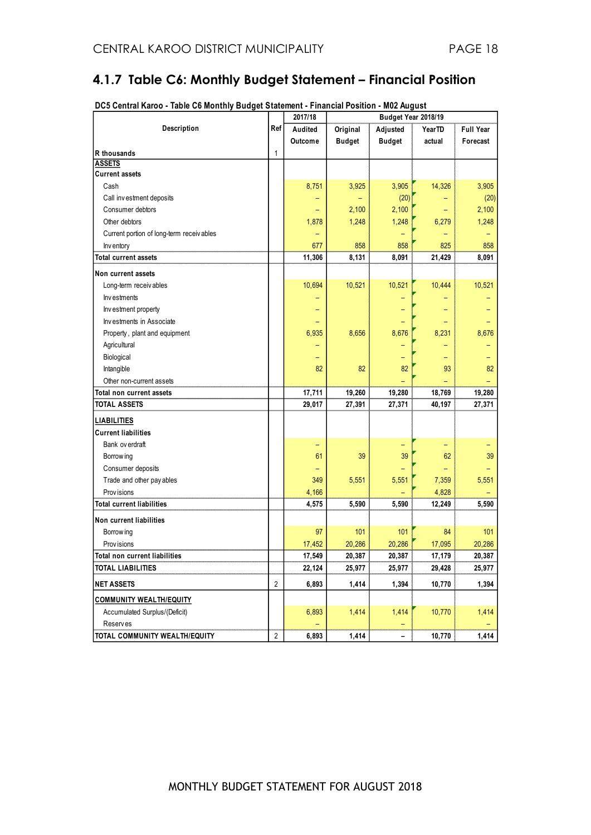#### **4.1.7 Table C6: Monthly Budget Statement – Financial Position**

|                                          |                | 2017/18                  | Budget Year 2018/19 |               |        |                  |  |  |
|------------------------------------------|----------------|--------------------------|---------------------|---------------|--------|------------------|--|--|
| Description                              | Ref            | Audited                  | Original            | Adjusted      | YearTD | <b>Full Year</b> |  |  |
|                                          |                | Outcome                  | <b>Budget</b>       | <b>Budget</b> | actual | Forecast         |  |  |
| R thousands                              | $\mathbf{1}$   |                          |                     |               |        |                  |  |  |
| <b>ASSETS</b>                            |                |                          |                     |               |        |                  |  |  |
| <b>Current assets</b>                    |                |                          |                     |               |        |                  |  |  |
| Cash                                     |                | 8,751                    | 3,925               | 3,905         | 14,326 | 3,905            |  |  |
| Call investment deposits                 |                |                          |                     | (20)          |        | (20)             |  |  |
| Consumer debtors                         |                |                          | 2,100               | 2,100         |        | 2,100            |  |  |
| Other debtors                            |                | 1,878                    | 1,248               | 1,248         | 6,279  | 1,248            |  |  |
| Current portion of long-term receivables |                | $\overline{\phantom{0}}$ |                     |               |        |                  |  |  |
| Inv entory                               |                | 677                      | 858                 | 858           | 825    | 858              |  |  |
| <b>Total current assets</b>              |                | 11,306                   | 8,131               | 8,091         | 21,429 | 8,091            |  |  |
| Non current assets                       |                |                          |                     |               |        |                  |  |  |
| Long-term receiv ables                   |                | 10,694                   | 10,521              | 10,521        | 10,444 | 10,521           |  |  |
| Investments                              |                |                          |                     |               |        |                  |  |  |
| Investment property                      |                |                          |                     |               |        |                  |  |  |
| Investments in Associate                 |                |                          |                     |               |        |                  |  |  |
| Property, plant and equipment            |                | 6,935                    | 8,656               | 8,676         | 8,231  | 8,676            |  |  |
| Agricultural                             |                |                          |                     |               |        |                  |  |  |
| Biological                               |                |                          |                     |               |        |                  |  |  |
| Intangible                               |                | 82                       | 82                  | 82            | 93     | 82               |  |  |
| Other non-current assets                 |                |                          |                     |               |        |                  |  |  |
| Total non current assets                 |                | 17,711                   | 19,260              | 19,280        | 18,769 | 19,280           |  |  |
| TOTAL ASSETS                             |                | 29,017                   | 27,391              | 27,371        | 40,197 | 27,371           |  |  |
| <b>LIABILITIES</b>                       |                |                          |                     |               |        |                  |  |  |
| <b>Current liabilities</b>               |                |                          |                     |               |        |                  |  |  |
| Bank ov erdraft                          |                |                          |                     |               |        |                  |  |  |
| Borrow ing                               |                | 61                       | 39                  | 39            | 62     | 39               |  |  |
| Consumer deposits                        |                |                          |                     |               |        |                  |  |  |
| Trade and other pay ables                |                | 349                      | 5,551               | 5,551         | 7,359  | 5,551            |  |  |
| Prov isions                              |                | 4,166                    |                     |               | 4,828  |                  |  |  |
| <b>Total current liabilities</b>         |                | 4,575                    | 5,590               | 5,590         | 12,249 | 5,590            |  |  |
| Non current liabilities                  |                |                          |                     |               |        |                  |  |  |
| Borrow ing                               |                | 97                       | 101                 | 101           | 84     | 101              |  |  |
| Prov isions                              |                | 17,452                   | 20,286              | 20,286        | 17,095 | 20,286           |  |  |
| <b>Total non current liabilities</b>     |                | 17,549                   | 20,387              | 20,387        | 17,179 | 20,387           |  |  |
| <b>TOTAL LIABILITIES</b>                 |                | 22,124                   | 25,977              | 25,977        | 29,428 | 25,977           |  |  |
| <b>NET ASSETS</b>                        | $\overline{2}$ | 6,893                    | 1,414               | 1,394         | 10,770 | 1,394            |  |  |
| <b>COMMUNITY WEALTH/EQUITY</b>           |                |                          |                     |               |        |                  |  |  |
| Accumulated Surplus/(Deficit)            |                | 6,893                    | 1,414               | 1,414         | 10,770 | 1,414            |  |  |
| Reserves                                 |                |                          |                     |               |        |                  |  |  |
| TOTAL COMMUNITY WEALTH/EQUITY            | $\overline{2}$ | 6,893                    | 1,414               |               | 10,770 | 1,414            |  |  |

**DC5 Central Karoo - Table C6 Monthly Budget Statement - Financial Position - M02 August**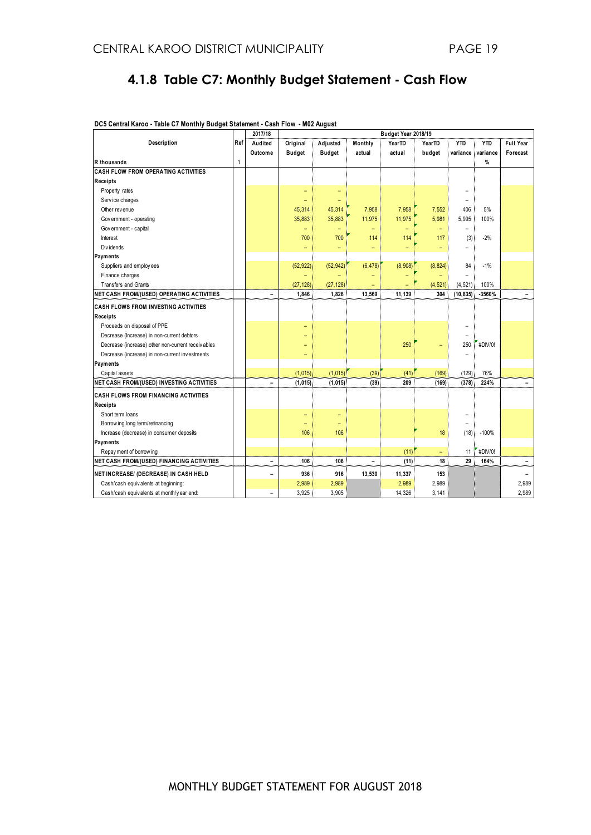#### **4.1.8 Table C7: Monthly Budget Statement - Cash Flow**

<span id="page-18-0"></span>

|                                                   |     | 2017/18                  |                          |               |                          | Budget Year 2018/19 |                          |                          |            |                          |
|---------------------------------------------------|-----|--------------------------|--------------------------|---------------|--------------------------|---------------------|--------------------------|--------------------------|------------|--------------------------|
| Description                                       | Ref | Audited                  | Original                 | Adjusted      | Monthly                  | YearTD              | <b>YearTD</b>            | <b>YTD</b>               | <b>YTD</b> | <b>Full Year</b>         |
|                                                   |     | Outcome                  | <b>Budget</b>            | <b>Budget</b> | actual                   | actual              | budget                   | variance                 | variance   | Forecast                 |
| R thousands                                       | 1   |                          |                          |               |                          |                     |                          |                          | %          |                          |
| <b>CASH FLOW FROM OPERATING ACTIVITIES</b>        |     |                          |                          |               |                          |                     |                          |                          |            |                          |
| Receipts                                          |     |                          |                          |               |                          |                     |                          |                          |            |                          |
| Property rates                                    |     |                          | $\overline{\phantom{0}}$ | -             |                          |                     |                          | ۰                        |            |                          |
| Service charges                                   |     |                          | ۳                        |               |                          |                     |                          | ۰                        |            |                          |
| Other rev enue                                    |     |                          | 45,314                   | 45,314        | 7,958                    | 7,958               | 7,552                    | 406                      | 5%         |                          |
| Government - operating                            |     |                          | 35,883                   | 35,883        | 11,975                   | 11,975              | 5,981                    | 5,995                    | 100%       |                          |
| Government - capital                              |     |                          | -                        |               |                          | -                   | $\overline{\phantom{0}}$ | ۳                        |            |                          |
| Interest                                          |     |                          | 700                      | 700           | 114                      | 114                 | 117                      | (3)                      | $-2%$      |                          |
| Div idends                                        |     |                          | -                        | -             | ÷                        | ÷                   | -                        |                          |            |                          |
| <b>Payments</b>                                   |     |                          |                          |               |                          |                     |                          |                          |            |                          |
| Suppliers and employees                           |     |                          | (52, 922)                | (52, 942)     | (6, 478)                 | (8,908)             | (8, 824)                 | 84                       | $-1%$      |                          |
| Finance charges                                   |     |                          |                          |               |                          |                     |                          | $\equiv$                 |            |                          |
| <b>Transfers and Grants</b>                       |     |                          | (27, 128)                | (27, 128)     |                          |                     | (4, 521)                 | (4, 521)                 | 100%       |                          |
| <b>NET CASH FROM/(USED) OPERATING ACTIVITIES</b>  |     | $\overline{\phantom{a}}$ | 1,846                    | 1,826         | 13,569                   | 11,139              | 304                      | (10, 835)                | -3560%     | ۳                        |
| <b>CASH FLOWS FROM INVESTING ACTIVITIES</b>       |     |                          |                          |               |                          |                     |                          |                          |            |                          |
| Receipts                                          |     |                          |                          |               |                          |                     |                          |                          |            |                          |
| Proceeds on disposal of PPE                       |     |                          | $\overline{\phantom{0}}$ |               |                          |                     |                          | -                        |            |                          |
| Decrease (Increase) in non-current debtors        |     |                          | ۳                        |               |                          |                     |                          | $\overline{\phantom{0}}$ |            |                          |
| Decrease (increase) other non-current receivables |     |                          | ۳                        |               |                          | 250                 | $\overline{\phantom{0}}$ | 250                      | #DIV/0!    |                          |
| Decrease (increase) in non-current investments    |     |                          | ۳                        |               |                          |                     |                          | $\overline{\phantom{0}}$ |            |                          |
| Payments                                          |     |                          |                          |               |                          |                     |                          |                          |            |                          |
| Capital assets                                    |     |                          | (1,015)                  | (1, 015)      | (39)                     | (41)                | (169)                    | (129)                    | 76%        |                          |
| NET CASH FROM/(USED) INVESTING ACTIVITIES         |     | $\overline{\phantom{0}}$ | (1, 015)                 | (1, 015)      | (39)                     | 209                 | (169)                    | (378)                    | 224%       | $\overline{\phantom{0}}$ |
| <b>CASH FLOWS FROM FINANCING ACTIVITIES</b>       |     |                          |                          |               |                          |                     |                          |                          |            |                          |
| Receipts                                          |     |                          |                          |               |                          |                     |                          |                          |            |                          |
| Short term loans                                  |     |                          | ۳                        | ۳             |                          |                     |                          | ۳                        |            |                          |
| Borrow ing long term/refinancing                  |     |                          | $\overline{\phantom{0}}$ |               |                          |                     |                          | -                        |            |                          |
| Increase (decrease) in consumer deposits          |     |                          | 106                      | 106           |                          |                     | 18                       | (18)                     | $-100%$    |                          |
| Payments                                          |     |                          |                          |               |                          |                     |                          |                          |            |                          |
| Repay ment of borrowing                           |     |                          |                          |               |                          | (11)                | $\equiv$                 | 11                       | #DIV/0!    |                          |
| <b>NET CASH FROM/(USED) FINANCING ACTIVITIES</b>  |     | $\overline{\phantom{a}}$ | 106                      | 106           | $\overline{\phantom{0}}$ | (11)                | 18                       | 29                       | 164%       | -                        |
| NET INCREASE/ (DECREASE) IN CASH HELD             |     | $\qquad \qquad -$        | 936                      | 916           | 13,530                   | 11,337              | 153                      |                          |            | -                        |
| Cash/cash equivalents at beginning:               |     |                          | 2,989                    | 2,989         |                          | 2,989               | 2,989                    |                          |            | 2,989                    |
| Cash/cash equivalents at month/y ear end:         |     | $\equiv$                 | 3,925                    | 3,905         |                          | 14,326              | 3,141                    |                          |            | 2.989                    |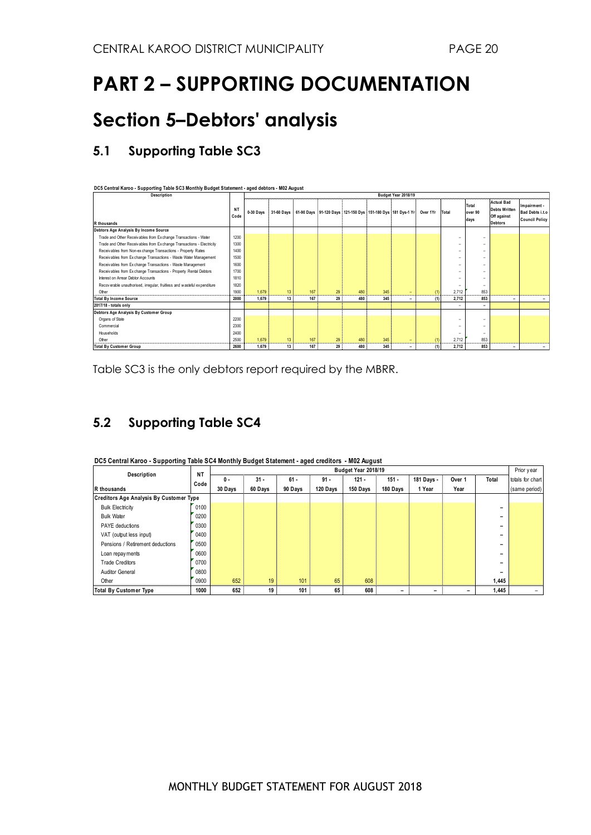## **PART 2 – SUPPORTING DOCUMENTATION**

### <span id="page-19-0"></span>**Section 5–Debtors' analysis**

#### **5.1 Supporting Table SC3**

**DC5 Central Karoo - Supporting Table SC3 Monthly Budget Statement - aged debtors - M02 August**

| Description                                                             |                   | Budget Year 2018/19 |    |     |    |     |     |                                                                                  |          |                          |                          |                                                                            |                                                          |
|-------------------------------------------------------------------------|-------------------|---------------------|----|-----|----|-----|-----|----------------------------------------------------------------------------------|----------|--------------------------|--------------------------|----------------------------------------------------------------------------|----------------------------------------------------------|
| R thousands                                                             | <b>NT</b><br>Code | 0-30 Days           |    |     |    |     |     | 31-60 Days   61-90 Days   91-120 Days   121-150 Dys   151-180 Dys   181 Dys-1 Yr | Over 1Yr | Total                    | Total<br>over 90<br>days | <b>Actual Bad</b><br><b>Debts Written</b><br>Off against<br><b>Debtors</b> | Impairment -<br>Bad Debts i.t.o<br><b>Council Policy</b> |
| Debtors Age Analysis By Income Source                                   |                   |                     |    |     |    |     |     |                                                                                  |          |                          |                          |                                                                            |                                                          |
| Trade and Other Receivables from Exchange Transactions - Water          | 1200              |                     |    |     |    |     |     |                                                                                  |          | -                        | -                        |                                                                            |                                                          |
| Trade and Other Receivables from Exchange Transactions - Electricity    | 1300              |                     |    |     |    |     |     |                                                                                  |          | -                        | -                        |                                                                            |                                                          |
| Receivables from Non-ex change Transactions - Property Rates            | 1400              |                     |    |     |    |     |     |                                                                                  |          | ۰                        | -                        |                                                                            |                                                          |
| Receivables from Exchange Transactions - Waste Water Management         | 1500              |                     |    |     |    |     |     |                                                                                  |          | -                        | ۰                        |                                                                            |                                                          |
| Receivables from Exchange Transactions - Waste Management               | 1600              |                     |    |     |    |     |     |                                                                                  |          | -                        | -                        |                                                                            |                                                          |
| Receivables from Exchange Transactions - Property Rental Debtors        | 1700              |                     |    |     |    |     |     |                                                                                  |          | ۰                        | ۰                        |                                                                            |                                                          |
| Interest on Arrear Debtor Accounts                                      | 1810              |                     |    |     |    |     |     |                                                                                  |          |                          | ۰                        |                                                                            |                                                          |
| Recoverable unauthorised, irregular, fruitless and wasteful expenditure | 1820              |                     |    |     |    |     |     |                                                                                  |          | -                        | $\overline{\phantom{a}}$ |                                                                            |                                                          |
| Other                                                                   | 1900              | 1.679               | 13 | 167 | 29 | 480 | 345 |                                                                                  | (1)      | 2.712                    | 853                      |                                                                            |                                                          |
| <b>Total By Income Source</b>                                           | 2000              | 1.679               | 13 | 167 | 29 | 480 | 345 | ۰                                                                                | (1)      | 2,712                    | 853                      | -                                                                          |                                                          |
| 2017/18 - totals only                                                   |                   |                     |    |     |    |     |     |                                                                                  |          | $\overline{\phantom{a}}$ | $\overline{\phantom{a}}$ |                                                                            |                                                          |
| Debtors Age Analysis By Customer Group                                  |                   |                     |    |     |    |     |     |                                                                                  |          |                          |                          |                                                                            |                                                          |
| Organs of State                                                         | 2200              |                     |    |     |    |     |     |                                                                                  |          | ۰                        |                          |                                                                            |                                                          |
| Commercial                                                              | 2300              |                     |    |     |    |     |     |                                                                                  |          | -                        | -                        |                                                                            |                                                          |
| Households                                                              | 2400              |                     |    |     |    |     |     |                                                                                  |          | -                        | -                        |                                                                            |                                                          |
| Other                                                                   | 2500              | 1.679               | 13 | 167 | 29 | 480 | 345 |                                                                                  | (1)      | 2,712                    | 853                      |                                                                            |                                                          |
| <b>Total By Customer Group</b>                                          | 2600              | 1,679               | 13 | 167 | 29 | 480 | 345 | ۰                                                                                | (1)      | 2,712                    | 853                      | ۰                                                                          |                                                          |

Table SC3 is the only debtors report required by the MBRR.

### **5.2 Supporting Table SC4**

| DC5 Central Karoo - Supporting Table SC4 Monthly Budget Statement - aged creditors - M02 August<br>Budget Year 2018/19 |                   |         |         |         |          |          |          |            |        |                          |                                |  |
|------------------------------------------------------------------------------------------------------------------------|-------------------|---------|---------|---------|----------|----------|----------|------------|--------|--------------------------|--------------------------------|--|
| Description                                                                                                            | <b>NT</b><br>Code | 0 -     | $31 -$  | $61 -$  | $91 -$   | $121 -$  | $151 -$  | 181 Days - | Over 1 | Total                    | Prior year<br>totals for chart |  |
| R thousands                                                                                                            |                   | 30 Days | 60 Days | 90 Days | 120 Days | 150 Days | 180 Days | 1 Year     | Year   |                          | (same period)                  |  |
| <b>Creditors Age Analysis By Customer Type</b>                                                                         |                   |         |         |         |          |          |          |            |        |                          |                                |  |
| <b>Bulk Electricity</b>                                                                                                | 0100              |         |         |         |          |          |          |            |        | -                        |                                |  |
| <b>Bulk Water</b>                                                                                                      | 0200              |         |         |         |          |          |          |            |        | $\overline{\phantom{0}}$ |                                |  |
| <b>PAYE</b> deductions                                                                                                 | 0300              |         |         |         |          |          |          |            |        | -                        |                                |  |
| VAT (output less input)                                                                                                | 0400              |         |         |         |          |          |          |            |        | -                        |                                |  |
| Pensions / Retirement deductions                                                                                       | 0500              |         |         |         |          |          |          |            |        | -                        |                                |  |
| Loan repay ments                                                                                                       | 0600              |         |         |         |          |          |          |            |        | -                        |                                |  |
| <b>Trade Creditors</b>                                                                                                 | 0700              |         |         |         |          |          |          |            |        | -                        |                                |  |
| <b>Auditor General</b>                                                                                                 | 0800              |         |         |         |          |          |          |            |        | -                        |                                |  |
| Other                                                                                                                  | 0900              | 652     | 19      | 101     | 65       | 608      |          |            |        | 1,445                    |                                |  |
| <b>Total By Customer Type</b>                                                                                          | 1000              | 652     | 19      | 101     | 65       | 608      |          |            |        | 1,445                    |                                |  |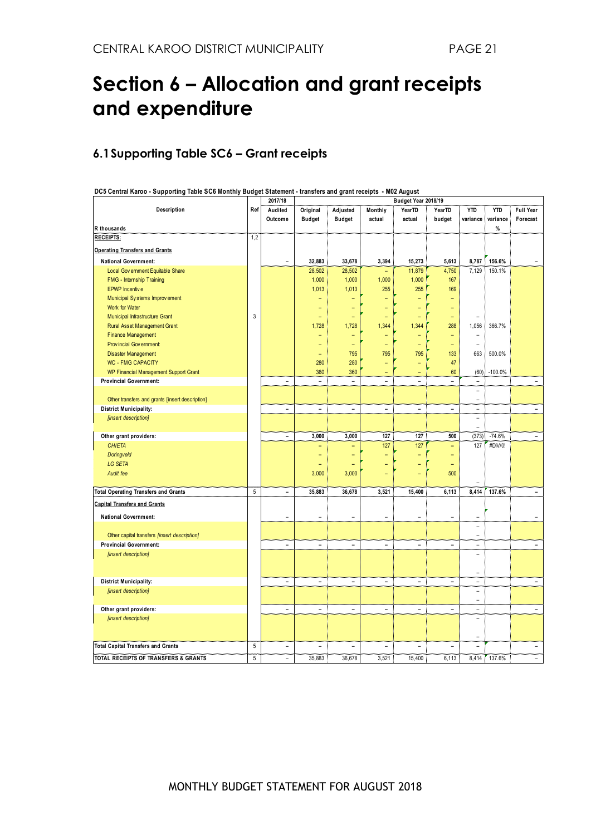### <span id="page-20-0"></span>**Section 6 – Allocation and grant receipts and expenditure**

#### **6.1Supporting Table SC6 – Grant receipts**

| DC5 Central Karoo - Supporting Table SC6 Monthly Budget Statement - transfers and grant receipts - M02 August |  |  |
|---------------------------------------------------------------------------------------------------------------|--|--|
|                                                                                                               |  |  |

|                                                 |            | 2017/18                  |                              |                |                              | Budget Year 2018/19 |                          |                              |            |                          |
|-------------------------------------------------|------------|--------------------------|------------------------------|----------------|------------------------------|---------------------|--------------------------|------------------------------|------------|--------------------------|
| Description                                     | Ref        | Audited                  | Original                     | Adjusted       | Monthly                      | YearTD              | YearTD                   | <b>YTD</b>                   | <b>YTD</b> | Full Year                |
|                                                 |            | Outcome                  | <b>Budget</b>                | <b>Budget</b>  | actual                       | actual              | budget                   | variance                     | variance   | Forecast                 |
| R thousands                                     |            |                          |                              |                |                              |                     |                          |                              | $\%$       |                          |
| <b>RECEIPTS:</b>                                | 1,2        |                          |                              |                |                              |                     |                          |                              |            |                          |
| <b>Operating Transfers and Grants</b>           |            |                          |                              |                |                              |                     |                          |                              |            |                          |
| <b>National Government:</b>                     |            |                          | 32,883                       | 33,678         | 3,394                        | 15,273              | 5,613                    | 8,787                        | 156.6%     |                          |
| Local Government Equitable Share                |            |                          | 28,502                       | 28,502         |                              | 11,879              | 4,750                    | 7,129                        | 150.1%     |                          |
| FMG - Internship Training                       |            |                          | 1,000                        | 1,000          | 1,000                        | 1,000               | 167                      |                              |            |                          |
| <b>EPWP</b> Incentive                           |            |                          | 1,013                        | 1,013          | 255                          | 255                 | 169                      |                              |            |                          |
| Municipal Systems Improvement                   |            |                          |                              |                |                              |                     |                          |                              |            |                          |
| Work for Water                                  |            |                          |                              |                |                              |                     |                          |                              |            |                          |
| Municipal Infrastructure Grant                  | $\sqrt{3}$ |                          |                              |                |                              |                     |                          |                              |            |                          |
| Rural Asset Management Grant                    |            |                          | 1,728                        | 1,728          | 1,344                        | 1,344               | 288                      | 1,056                        | 366.7%     |                          |
| <b>Finance Management</b>                       |            |                          |                              | Ξ              |                              |                     | ۳                        |                              |            |                          |
| Provincial Government:                          |            |                          | ۳                            | ٠              | ٠                            | ۳                   | $\qquad \qquad -$        | $\overline{\phantom{a}}$     |            |                          |
| <b>Disaster Management</b>                      |            |                          | $\equiv$                     | 795            | 795                          | 795                 | 133                      | 663                          | 500.0%     |                          |
| <b>WC - FMG CAPACITY</b>                        |            |                          | 280                          | 280            | ۳                            | ۳                   | 47                       |                              |            |                          |
| WP Financial Management Support Grant           |            |                          | 360                          | 360            | ۳                            | ۳                   | 60                       | (60)                         | $-100.0%$  |                          |
| <b>Provincial Government:</b>                   |            | $\overline{a}$           | $\qquad \qquad \blacksquare$ | $\frac{1}{2}$  | $\overline{a}$               | $\blacksquare$      | $\blacksquare$           | $\qquad \qquad \blacksquare$ |            |                          |
|                                                 |            |                          |                              |                |                              |                     |                          | $\overline{\phantom{0}}$     |            |                          |
| Other transfers and grants [insert description] |            |                          |                              |                |                              |                     |                          | $\overline{\phantom{a}}$     |            |                          |
| <b>District Municipality:</b>                   |            | $\overline{\phantom{a}}$ | $\overline{\phantom{0}}$     | -              | $\qquad \qquad \blacksquare$ | $\qquad \qquad -$   | $\overline{\phantom{0}}$ | $\overline{a}$               |            | $\overline{\phantom{a}}$ |
| [insert description]                            |            |                          |                              |                |                              |                     |                          | $\overline{\phantom{a}}$     |            |                          |
|                                                 |            |                          |                              |                |                              |                     |                          |                              |            |                          |
| Other grant providers:                          |            | $\blacksquare$           | 3,000                        | 3,000          | 127                          | 127                 | 500                      | (373)                        | $-74.6%$   | $\blacksquare$           |
| <b>CHIETA</b>                                   |            |                          | ۳                            |                | 127                          | 127                 | $\equiv$                 | 127                          | #DIV/0!    |                          |
| Doringveld                                      |            |                          |                              |                |                              | ۰                   |                          |                              |            |                          |
| LG SETA                                         |            |                          |                              |                |                              |                     |                          |                              |            |                          |
| Audit fee                                       |            |                          | 3,000                        | 3,000          |                              |                     | 500                      |                              |            |                          |
|                                                 |            |                          |                              |                |                              |                     |                          |                              |            |                          |
| <b>Total Operating Transfers and Grants</b>     | 5          | $\blacksquare$           | 35.883                       | 36.678         | 3,521                        | 15.400              | 6,113                    | 8,414                        | 137.6%     |                          |
| <b>Capital Transfers and Grants</b>             |            |                          |                              |                |                              |                     |                          |                              |            |                          |
| <b>National Government:</b>                     |            | ÷,                       | $\equiv$                     | L,             | ÷,                           | ۳                   |                          |                              |            |                          |
|                                                 |            |                          |                              |                |                              |                     |                          | $\overline{a}$               |            |                          |
| Other capital transfers [insert description]    |            |                          |                              |                |                              |                     |                          | L.                           |            |                          |
| <b>Provincial Government:</b>                   |            | L,                       | -                            | $\overline{a}$ | ÷                            | $\blacksquare$      |                          | $\overline{a}$               |            |                          |
| [insert description]                            |            |                          |                              |                |                              |                     |                          | $\overline{\phantom{0}}$     |            |                          |
|                                                 |            |                          |                              |                |                              |                     |                          |                              |            |                          |
|                                                 |            |                          |                              |                |                              |                     |                          | ۳                            |            |                          |
| <b>District Municipality:</b>                   |            | $\overline{a}$           | $\equiv$                     | $\overline{a}$ | $\equiv$                     | $\blacksquare$      | $\sim$                   | $\sim$                       |            | $\equiv$                 |
| [insert description]                            |            |                          |                              |                |                              |                     |                          | $\overline{\phantom{a}}$     |            |                          |
|                                                 |            |                          |                              |                |                              |                     |                          | ÷.                           |            |                          |
| Other grant providers:                          |            | $\blacksquare$           | $\blacksquare$               | $\blacksquare$ | $\blacksquare$               | $\blacksquare$      | $\equiv$                 | $\sim$                       |            | $\blacksquare$           |
| [insert description]                            |            |                          |                              |                |                              |                     |                          | ÷,                           |            |                          |
|                                                 |            |                          |                              |                |                              |                     |                          |                              |            |                          |
|                                                 |            |                          |                              |                |                              |                     |                          | $\overline{\phantom{a}}$     |            |                          |
| <b>Total Capital Transfers and Grants</b>       | $5\,$      | Ē,                       |                              |                |                              |                     |                          |                              |            |                          |
| TOTAL RECEIPTS OF TRANSFERS & GRANTS            | $\sqrt{5}$ | $\overline{\phantom{a}}$ | 35,883                       | 36,678         | 3,521                        | 15,400              | 6,113                    | 8,414                        | 137.6%     | $\qquad \qquad -$        |
|                                                 |            |                          |                              |                |                              |                     |                          |                              |            |                          |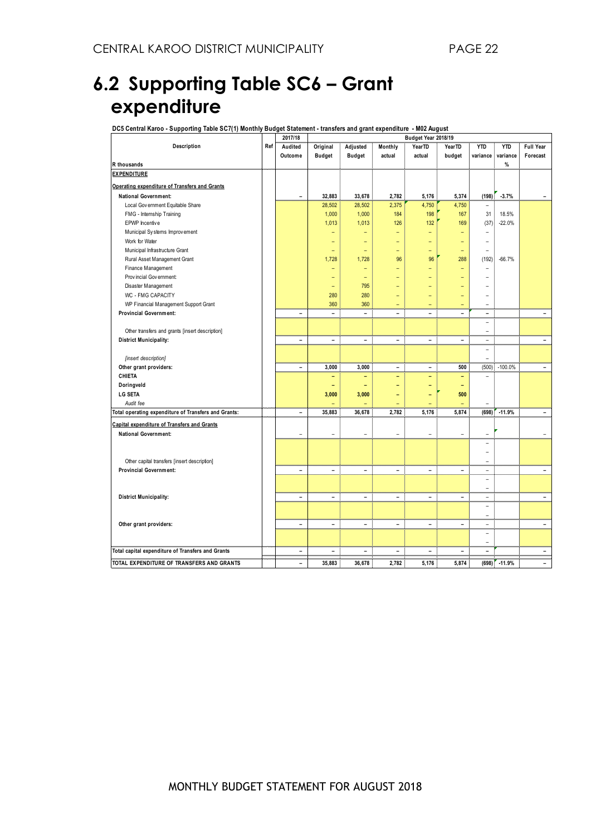### **6.2 Supporting Table SC6 – Grant expenditure**

**DC5 Central Karoo - Supporting Table SC7(1) Monthly Budget Statement - transfers and grant expenditure - M02 August**

| 2017/18                                              |     |                              |                          |                          |                          | Budget Year 2018/19      |                          |                          |            |                          |  |
|------------------------------------------------------|-----|------------------------------|--------------------------|--------------------------|--------------------------|--------------------------|--------------------------|--------------------------|------------|--------------------------|--|
| Description                                          | Ref | Audited                      | Original                 | Adjusted                 | Monthly                  | YearTD                   | YearTD                   | <b>YTD</b>               | <b>YTD</b> | <b>Full Year</b>         |  |
|                                                      |     | Outcome                      | <b>Budget</b>            | <b>Budget</b>            | actual                   | actual                   | budget                   | variance                 | variance   | Forecast                 |  |
| R thousands                                          |     |                              |                          |                          |                          |                          |                          |                          | %          |                          |  |
| <b>EXPENDITURE</b>                                   |     |                              |                          |                          |                          |                          |                          |                          |            |                          |  |
| Operating expenditure of Transfers and Grants        |     |                              |                          |                          |                          |                          |                          |                          |            |                          |  |
| <b>National Government:</b>                          |     | L.                           | 32,883                   | 33,678                   | 2,782                    | 5,176                    | 5,374                    | (198)                    | $-3.7%$    |                          |  |
| Local Government Equitable Share                     |     |                              | 28,502                   | 28,502                   | 2,375                    | 4,750                    | 4,750                    | $\sim$                   |            |                          |  |
| FMG - Internship Training                            |     |                              | 1,000                    | 1,000                    | 184                      | 198                      | 167                      | 31                       | 18.5%      |                          |  |
| EPWP Incentive                                       |     |                              | 1,013                    | 1,013                    | 126                      | 132                      | 169                      | (37)                     | $-22.0%$   |                          |  |
| Municipal Systems Improvement                        |     |                              | -                        | $\overline{\phantom{a}}$ | ٠                        | ٠                        | -                        | $\overline{\phantom{0}}$ |            |                          |  |
| Work for Water                                       |     |                              | ۰                        | $\overline{\phantom{0}}$ | $\overline{\phantom{0}}$ | ٠                        | $\overline{\phantom{0}}$ | $\overline{\phantom{a}}$ |            |                          |  |
| Municipal Infrastructure Grant                       |     |                              | $\overline{\phantom{0}}$ | $\overline{\phantom{0}}$ | ۰                        | ۳                        | $\overline{\phantom{0}}$ | ۰                        |            |                          |  |
| Rural Asset Management Grant                         |     |                              | 1,728                    | 1,728                    | 96                       | 96                       | 288                      | (192)                    | $-66.7%$   |                          |  |
| Finance Management                                   |     |                              | ۳                        | $\overline{\phantom{a}}$ |                          |                          |                          | L,                       |            |                          |  |
| Provincial Government                                |     |                              | -                        | ٠                        |                          |                          |                          |                          |            |                          |  |
| Disaster Management                                  |     |                              | ۰                        | 795                      |                          |                          |                          |                          |            |                          |  |
| WC - FMG CAPACITY                                    |     |                              | 280                      | 280                      |                          |                          |                          |                          |            |                          |  |
| WP Financial Management Support Grant                |     |                              | 360                      | 360                      |                          |                          |                          | $\overline{a}$           |            |                          |  |
| <b>Provincial Government:</b>                        |     | $\overline{\phantom{0}}$     | $\overline{\phantom{0}}$ | $\blacksquare$           | $\overline{\phantom{0}}$ | L.                       | ۳                        | $\overline{\phantom{a}}$ |            | ÷                        |  |
|                                                      |     |                              |                          |                          |                          |                          |                          | ٠                        |            |                          |  |
| Other transfers and grants [insert description]      |     |                              |                          |                          |                          |                          |                          | $\overline{\phantom{0}}$ |            |                          |  |
| <b>District Municipality:</b>                        |     | $\blacksquare$               | $\blacksquare$           | $\overline{\phantom{a}}$ | $\sim$                   | $\overline{\phantom{a}}$ | $\overline{\phantom{a}}$ | $\bar{a}$                |            | ÷                        |  |
|                                                      |     |                              |                          |                          |                          |                          |                          | $\overline{\phantom{a}}$ |            |                          |  |
| [insert description]                                 |     |                              |                          |                          |                          |                          |                          | ÷                        |            |                          |  |
| Other grant providers:                               |     | ۰                            | 3,000                    | 3,000                    | $\sim$                   | $\equiv$                 | 500                      | (500)                    | $-100.0%$  | $\equiv$                 |  |
| <b>CHIETA</b>                                        |     |                              | ÷                        | ٠                        | ÷                        | ۰                        | $\overline{\phantom{0}}$ | $\overline{\phantom{a}}$ |            |                          |  |
| Doringveld                                           |     |                              | ٠                        | $\overline{\phantom{a}}$ |                          | L,                       |                          |                          |            |                          |  |
| <b>LG SETA</b>                                       |     |                              | 3,000                    | 3,000                    |                          |                          | 500                      |                          |            |                          |  |
| Audit fee                                            |     |                              | $\overline{\phantom{0}}$ | $\equiv$                 | $\overline{\phantom{0}}$ | -                        |                          |                          |            |                          |  |
| Total operating expenditure of Transfers and Grants: |     | $\qquad \qquad \blacksquare$ | 35,883                   | 36,678                   | 2,782                    | 5,176                    | 5,874                    | (698)                    | $-11.9%$   | ۰                        |  |
| Capital expenditure of Transfers and Grants          |     |                              |                          |                          |                          |                          |                          |                          |            |                          |  |
| <b>National Government:</b>                          |     | ۳                            | ÷                        | $\overline{\phantom{a}}$ | $\overline{\phantom{a}}$ | $\overline{\phantom{a}}$ | $\overline{\phantom{a}}$ | ۰                        |            | $\overline{\phantom{0}}$ |  |
|                                                      |     |                              |                          |                          |                          |                          |                          | ۰                        |            |                          |  |
|                                                      |     |                              |                          |                          |                          |                          |                          |                          |            |                          |  |
| Other capital transfers [insert description]         |     |                              |                          |                          |                          |                          |                          | $\overline{\phantom{a}}$ |            |                          |  |
| <b>Provincial Government:</b>                        |     | ÷,                           | $\blacksquare$           | $\blacksquare$           | $\overline{\phantom{a}}$ | $\blacksquare$           | $\equiv$                 | $\overline{\phantom{a}}$ |            | ÷                        |  |
|                                                      |     |                              |                          |                          |                          |                          |                          | $\overline{\phantom{a}}$ |            |                          |  |
|                                                      |     |                              |                          |                          |                          |                          |                          | $\equiv$                 |            |                          |  |
| <b>District Municipality:</b>                        |     | $\overline{\phantom{0}}$     | $\overline{a}$           | $\blacksquare$           | $\blacksquare$           | $\overline{\phantom{0}}$ | ۳                        | $\overline{\phantom{a}}$ |            | ۰                        |  |
|                                                      |     |                              |                          |                          |                          |                          |                          | ٠                        |            |                          |  |
|                                                      |     |                              |                          |                          |                          |                          |                          | ÷                        |            |                          |  |
| Other grant providers:                               |     | $\overline{\phantom{0}}$     | ÷                        | ÷                        | $\sim$                   | ÷                        | $\sim$                   | $\sim$                   |            | $\blacksquare$           |  |
|                                                      |     |                              |                          |                          |                          |                          |                          | $\overline{\phantom{0}}$ |            |                          |  |
|                                                      |     |                              |                          |                          |                          |                          |                          | $\overline{\phantom{0}}$ |            |                          |  |
| Total capital expenditure of Transfers and Grants    |     | $\qquad \qquad \blacksquare$ |                          | $\blacksquare$           |                          | $\overline{\phantom{0}}$ |                          | $\blacksquare$           |            | $\overline{\phantom{0}}$ |  |
| TOTAL EXPENDITURE OF TRANSFERS AND GRANTS            |     | $\overline{\phantom{a}}$     | 35,883                   | 36,678                   | 2,782                    | 5,176                    | 5,874                    | (698)                    | $-11.9%$   | ۰                        |  |
|                                                      |     |                              |                          |                          |                          |                          |                          |                          |            |                          |  |